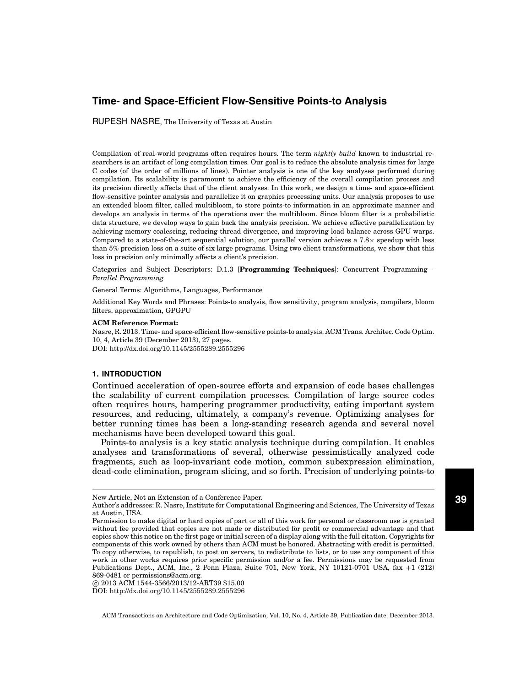RUPESH NASRE, The University of Texas at Austin

Compilation of real-world programs often requires hours. The term *nightly build* known to industrial researchers is an artifact of long compilation times. Our goal is to reduce the absolute analysis times for large C codes (of the order of millions of lines). Pointer analysis is one of the key analyses performed during compilation. Its scalability is paramount to achieve the efficiency of the overall compilation process and its precision directly affects that of the client analyses. In this work, we design a time- and space-efficient flow-sensitive pointer analysis and parallelize it on graphics processing units. Our analysis proposes to use an extended bloom filter, called multibloom, to store points-to information in an approximate manner and develops an analysis in terms of the operations over the multibloom. Since bloom filter is a probabilistic data structure, we develop ways to gain back the analysis precision. We achieve effective parallelization by achieving memory coalescing, reducing thread divergence, and improving load balance across GPU warps. Compared to a state-of-the-art sequential solution, our parallel version achieves a  $7.8\times$  speedup with less than 5% precision loss on a suite of six large programs. Using two client transformations, we show that this loss in precision only minimally affects a client's precision.

Categories and Subject Descriptors: D.1.3 [**Programming Techniques**]: Concurrent Programming— *Parallel Programming*

General Terms: Algorithms, Languages, Performance

Additional Key Words and Phrases: Points-to analysis, flow sensitivity, program analysis, compilers, bloom filters, approximation, GPGPU

#### **ACM Reference Format:**

Nasre, R. 2013. Time- and space-efficient flow-sensitive points-to analysis. ACM Trans. Architec. Code Optim. 10, 4, Article 39 (December 2013), 27 pages. DOI: http://dx.doi.org/10.1145/2555289.2555296

# **1. INTRODUCTION**

Continued acceleration of open-source efforts and expansion of code bases challenges the scalability of current compilation processes. Compilation of large source codes often requires hours, hampering programmer productivity, eating important system resources, and reducing, ultimately, a company's revenue. Optimizing analyses for better running times has been a long-standing research agenda and several novel mechanisms have been developed toward this goal.

Points-to analysis is a key static analysis technique during compilation. It enables analyses and transformations of several, otherwise pessimistically analyzed code fragments, such as loop-invariant code motion, common subexpression elimination, dead-code elimination, program slicing, and so forth. Precision of underlying points-to

© 2013 ACM 1544-3566/2013/12-ART39 \$15.00 DOI: http://dx.doi.org/10.1145/2555289.2555296

New Article, Not an Extension of a Conference Paper.

Author's addresses: R. Nasre, Institute for Computational Engineering and Sciences, The University of Texas at Austin, USA.

Permission to make digital or hard copies of part or all of this work for personal or classroom use is granted without fee provided that copies are not made or distributed for profit or commercial advantage and that copies show this notice on the first page or initial screen of a display along with the full citation. Copyrights for components of this work owned by others than ACM must be honored. Abstracting with credit is permitted. To copy otherwise, to republish, to post on servers, to redistribute to lists, or to use any component of this work in other works requires prior specific permission and/or a fee. Permissions may be requested from Publications Dept., ACM, Inc., 2 Penn Plaza, Suite 701, New York, NY 10121-0701 USA, fax +1 (212) 869-0481 or permissions@acm.org.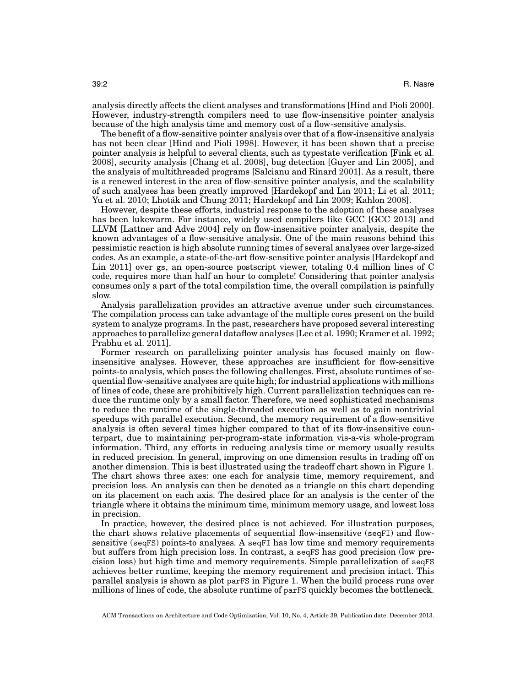analysis directly affects the client analyses and transformations [Hind and Pioli 2000]. However, industry-strength compilers need to use flow-insensitive pointer analysis because of the high analysis time and memory cost of a flow-sensitive analysis.

The benefit of a flow-sensitive pointer analysis over that of a flow-insensitive analysis has not been clear [Hind and Pioli 1998]. However, it has been shown that a precise pointer analysis is helpful to several clients, such as typestate verification [Fink et al. 2008], security analysis [Chang et al. 2008], bug detection [Guyer and Lin 2005], and the analysis of multithreaded programs [Salcianu and Rinard 2001]. As a result, there is a renewed interest in the area of flow-sensitive pointer analysis, and the scalability of such analyses has been greatly improved [Hardekopf and Lin 2011; Li et al. 2011; Yu et al. 2010; Lhoták and Chung 2011; Hardekopf and Lin 2009; Kahlon 2008].

However, despite these efforts, industrial response to the adoption of these analyses has been lukewarm. For instance, widely used compilers like GCC [GCC 2013] and LLVM [Lattner and Adve 2004] rely on flow-insensitive pointer analysis, despite the known advantages of a flow-sensitive analysis. One of the main reasons behind this pessimistic reaction is high absolute running times of several analyses over large-sized codes. As an example, a state-of-the-art flow-sensitive pointer analysis [Hardekopf and Lin 2011] over gs, an open-source postscript viewer, totaling 0.4 million lines of C code, requires more than half an hour to complete! Considering that pointer analysis consumes only a part of the total compilation time, the overall compilation is painfully slow.

Analysis parallelization provides an attractive avenue under such circumstances. The compilation process can take advantage of the multiple cores present on the build system to analyze programs. In the past, researchers have proposed several interesting approaches to parallelize general dataflow analyses [Lee et al. 1990; Kramer et al. 1992; Prabhu et al. 2011].

Former research on parallelizing pointer analysis has focused mainly on flowinsensitive analyses. However, these approaches are insufficient for flow-sensitive points-to analysis, which poses the following challenges. First, absolute runtimes of sequential flow-sensitive analyses are quite high; for industrial applications with millions of lines of code, these are prohibitively high. Current parallelization techniques can reduce the runtime only by a small factor. Therefore, we need sophisticated mechanisms to reduce the runtime of the single-threaded execution as well as to gain nontrivial speedups with parallel execution. Second, the memory requirement of a flow-sensitive analysis is often several times higher compared to that of its flow-insensitive counterpart, due to maintaining per-program-state information vis-a-vis whole-program information. Third, any efforts in reducing analysis time or memory usually results in reduced precision. In general, improving on one dimension results in trading off on another dimension. This is best illustrated using the tradeoff chart shown in Figure 1. The chart shows three axes: one each for analysis time, memory requirement, and precision loss. An analysis can then be denoted as a triangle on this chart depending on its placement on each axis. The desired place for an analysis is the center of the triangle where it obtains the minimum time, minimum memory usage, and lowest loss in precision.

In practice, however, the desired place is not achieved. For illustration purposes, the chart shows relative placements of sequential flow-insensitive (seqFI) and flowsensitive (seqFS) points-to analyses. A seqFI has low time and memory requirements but suffers from high precision loss. In contrast, a seqFS has good precision (low precision loss) but high time and memory requirements. Simple parallelization of seqFS achieves better runtime, keeping the memory requirement and precision intact. This parallel analysis is shown as plot parFS in Figure 1. When the build process runs over millions of lines of code, the absolute runtime of parFS quickly becomes the bottleneck.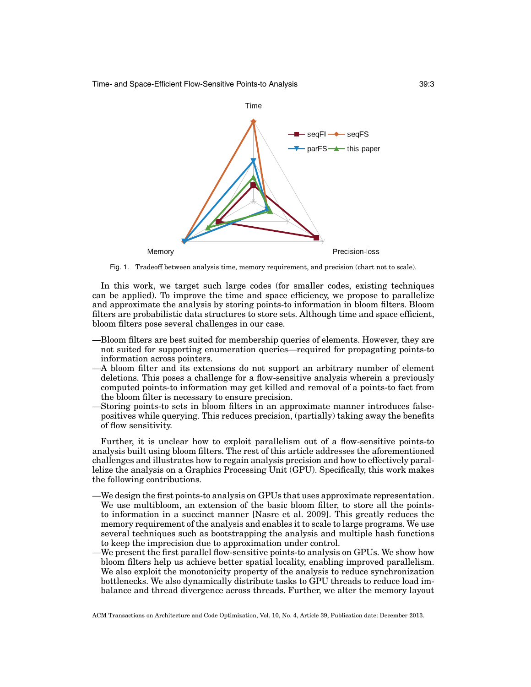

Fig. 1. Tradeoff between analysis time, memory requirement, and precision (chart not to scale).

In this work, we target such large codes (for smaller codes, existing techniques can be applied). To improve the time and space efficiency, we propose to parallelize and approximate the analysis by storing points-to information in bloom filters. Bloom filters are probabilistic data structures to store sets. Although time and space efficient, bloom filters pose several challenges in our case.

- —Bloom filters are best suited for membership queries of elements. However, they are not suited for supporting enumeration queries—required for propagating points-to information across pointers.
- —A bloom filter and its extensions do not support an arbitrary number of element deletions. This poses a challenge for a flow-sensitive analysis wherein a previously computed points-to information may get killed and removal of a points-to fact from the bloom filter is necessary to ensure precision.
- —Storing points-to sets in bloom filters in an approximate manner introduces falsepositives while querying. This reduces precision, (partially) taking away the benefits of flow sensitivity.

Further, it is unclear how to exploit parallelism out of a flow-sensitive points-to analysis built using bloom filters. The rest of this article addresses the aforementioned challenges and illustrates how to regain analysis precision and how to effectively parallelize the analysis on a Graphics Processing Unit (GPU). Specifically, this work makes the following contributions.

- —We design the first points-to analysis on GPUs that uses approximate representation. We use multibloom, an extension of the basic bloom filter, to store all the pointsto information in a succinct manner [Nasre et al. 2009]. This greatly reduces the memory requirement of the analysis and enables it to scale to large programs. We use several techniques such as bootstrapping the analysis and multiple hash functions to keep the imprecision due to approximation under control.
- —We present the first parallel flow-sensitive points-to analysis on GPUs. We show how bloom filters help us achieve better spatial locality, enabling improved parallelism. We also exploit the monotonicity property of the analysis to reduce synchronization bottlenecks. We also dynamically distribute tasks to GPU threads to reduce load imbalance and thread divergence across threads. Further, we alter the memory layout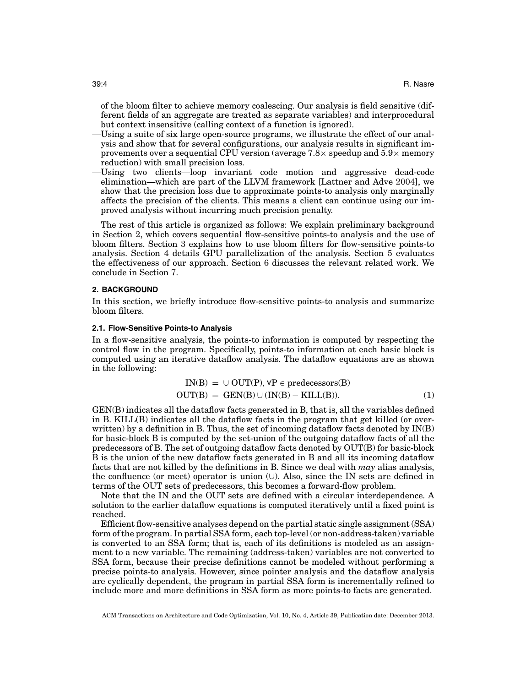of the bloom filter to achieve memory coalescing. Our analysis is field sensitive (different fields of an aggregate are treated as separate variables) and interprocedural but context insensitive (calling context of a function is ignored).

- —Using a suite of six large open-source programs, we illustrate the effect of our analysis and show that for several configurations, our analysis results in significant improvements over a sequential CPU version (average  $7.8\times$  speedup and  $5.9\times$  memory reduction) with small precision loss.
- —Using two clients—loop invariant code motion and aggressive dead-code elimination—which are part of the LLVM framework [Lattner and Adve 2004], we show that the precision loss due to approximate points-to analysis only marginally affects the precision of the clients. This means a client can continue using our improved analysis without incurring much precision penalty.

The rest of this article is organized as follows: We explain preliminary background in Section 2, which covers sequential flow-sensitive points-to analysis and the use of bloom filters. Section 3 explains how to use bloom filters for flow-sensitive points-to analysis. Section 4 details GPU parallelization of the analysis. Section 5 evaluates the effectiveness of our approach. Section 6 discusses the relevant related work. We conclude in Section 7.

# **2. BACKGROUND**

In this section, we briefly introduce flow-sensitive points-to analysis and summarize bloom filters.

#### **2.1. Flow-Sensitive Points-to Analysis**

In a flow-sensitive analysis, the points-to information is computed by respecting the control flow in the program. Specifically, points-to information at each basic block is computed using an iterative dataflow analysis. The dataflow equations are as shown in the following:

$$
IN(B) = \cup OUT(P), \forall P \in predecessors(B)
$$
  
OUT(B) = GEN(B) \cup (IN(B) – KILL(B)). (1)

GEN(B) indicates all the dataflow facts generated in B, that is, all the variables defined in B. KILL(B) indicates all the dataflow facts in the program that get killed (or overwritten) by a definition in B. Thus, the set of incoming dataflow facts denoted by  $IN(B)$ for basic-block B is computed by the set-union of the outgoing dataflow facts of all the predecessors of B. The set of outgoing dataflow facts denoted by OUT(B) for basic-block B is the union of the new dataflow facts generated in B and all its incoming dataflow facts that are not killed by the definitions in B. Since we deal with *may* alias analysis, the confluence (or meet) operator is union  $(\cup)$ . Also, since the IN sets are defined in terms of the OUT sets of predecessors, this becomes a forward-flow problem.

Note that the IN and the OUT sets are defined with a circular interdependence. A solution to the earlier dataflow equations is computed iteratively until a fixed point is reached.

Efficient flow-sensitive analyses depend on the partial static single assignment (SSA) form of the program. In partial SSA form, each top-level (or non-address-taken) variable is converted to an SSA form; that is, each of its definitions is modeled as an assignment to a new variable. The remaining (address-taken) variables are not converted to SSA form, because their precise definitions cannot be modeled without performing a precise points-to analysis. However, since pointer analysis and the dataflow analysis are cyclically dependent, the program in partial SSA form is incrementally refined to include more and more definitions in SSA form as more points-to facts are generated.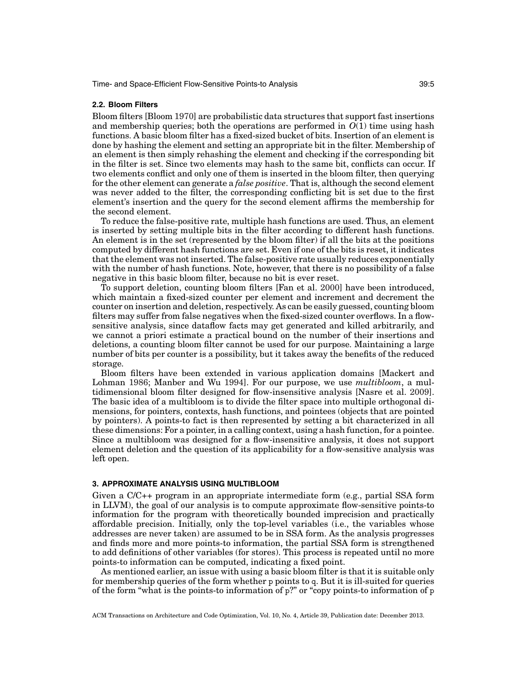#### **2.2. Bloom Filters**

Bloom filters [Bloom 1970] are probabilistic data structures that support fast insertions and membership queries; both the operations are performed in  $O(1)$  time using hash functions. A basic bloom filter has a fixed-sized bucket of bits. Insertion of an element is done by hashing the element and setting an appropriate bit in the filter. Membership of an element is then simply rehashing the element and checking if the corresponding bit in the filter is set. Since two elements may hash to the same bit, conflicts can occur. If two elements conflict and only one of them is inserted in the bloom filter, then querying for the other element can generate a *false positive*. That is, although the second element was never added to the filter, the corresponding conflicting bit is set due to the first element's insertion and the query for the second element affirms the membership for the second element.

To reduce the false-positive rate, multiple hash functions are used. Thus, an element is inserted by setting multiple bits in the filter according to different hash functions. An element is in the set (represented by the bloom filter) if all the bits at the positions computed by different hash functions are set. Even if one of the bits is reset, it indicates that the element was not inserted. The false-positive rate usually reduces exponentially with the number of hash functions. Note, however, that there is no possibility of a false negative in this basic bloom filter, because no bit is ever reset.

To support deletion, counting bloom filters [Fan et al. 2000] have been introduced, which maintain a fixed-sized counter per element and increment and decrement the counter on insertion and deletion, respectively. As can be easily guessed, counting bloom filters may suffer from false negatives when the fixed-sized counter overflows. In a flowsensitive analysis, since dataflow facts may get generated and killed arbitrarily, and we cannot a priori estimate a practical bound on the number of their insertions and deletions, a counting bloom filter cannot be used for our purpose. Maintaining a large number of bits per counter is a possibility, but it takes away the benefits of the reduced storage.

Bloom filters have been extended in various application domains [Mackert and Lohman 1986; Manber and Wu 1994]. For our purpose, we use *multibloom*, a multidimensional bloom filter designed for flow-insensitive analysis [Nasre et al. 2009]. The basic idea of a multibloom is to divide the filter space into multiple orthogonal dimensions, for pointers, contexts, hash functions, and pointees (objects that are pointed by pointers). A points-to fact is then represented by setting a bit characterized in all these dimensions: For a pointer, in a calling context, using a hash function, for a pointee. Since a multibloom was designed for a flow-insensitive analysis, it does not support element deletion and the question of its applicability for a flow-sensitive analysis was left open.

## **3. APPROXIMATE ANALYSIS USING MULTIBLOOM**

Given a C/C++ program in an appropriate intermediate form (e.g., partial SSA form in LLVM), the goal of our analysis is to compute approximate flow-sensitive points-to information for the program with theoretically bounded imprecision and practically affordable precision. Initially, only the top-level variables (i.e., the variables whose addresses are never taken) are assumed to be in SSA form. As the analysis progresses and finds more and more points-to information, the partial SSA form is strengthened to add definitions of other variables (for stores). This process is repeated until no more points-to information can be computed, indicating a fixed point.

As mentioned earlier, an issue with using a basic bloom filter is that it is suitable only for membership queries of the form whether p points to q. But it is ill-suited for queries of the form "what is the points-to information of p?" or "copy points-to information of p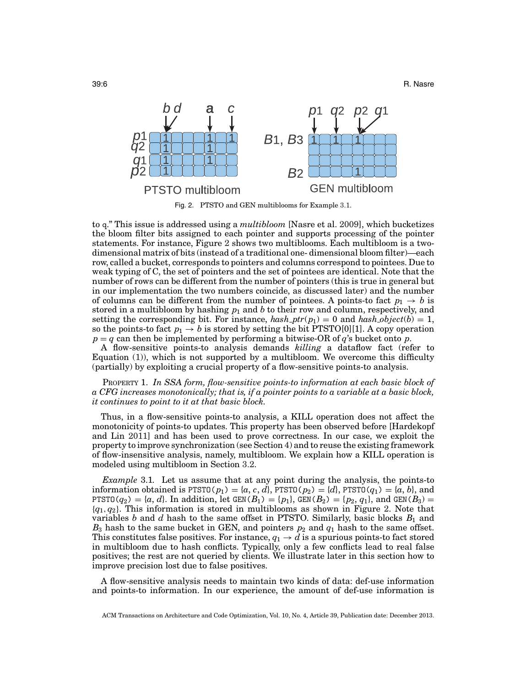

Fig. 2. PTSTO and GEN multiblooms for Example 3.1.

to q." This issue is addressed using a *multibloom* [Nasre et al. 2009], which bucketizes the bloom filter bits assigned to each pointer and supports processing of the pointer statements. For instance, Figure 2 shows two multiblooms. Each multibloom is a twodimensional matrix of bits (instead of a traditional one- dimensional bloom filter)—each row, called a bucket, corresponds to pointers and columns correspond to pointees. Due to weak typing of C, the set of pointers and the set of pointees are identical. Note that the number of rows can be different from the number of pointers (this is true in general but in our implementation the two numbers coincide, as discussed later) and the number of columns can be different from the number of pointees. A points-to fact  $p_1 \rightarrow b$  is stored in a multibloom by hashing *p*<sup>1</sup> and *b* to their row and column, respectively, and setting the corresponding bit. For instance,  $hash\_ptr(p_1) = 0$  and  $hash\_object(b) = 1$ , so the points-to fact  $p_1 \rightarrow b$  is stored by setting the bit PTSTO[0][1]. A copy operation  $p = q$  can then be implemented by performing a bitwise-OR of  $q$ 's bucket onto p.

A flow-sensitive points-to analysis demands *killing* a dataflow fact (refer to Equation  $(1)$ ), which is not supported by a multibloom. We overcome this difficulty (partially) by exploiting a crucial property of a flow-sensitive points-to analysis.

PROPERTY 1. *In SSA form, flow-sensitive points-to information at each basic block of a CFG increases monotonically; that is, if a pointer points to a variable at a basic block, it continues to point to it at that basic block.*

Thus, in a flow-sensitive points-to analysis, a KILL operation does not affect the monotonicity of points-to updates. This property has been observed before [Hardekopf and Lin 2011] and has been used to prove correctness. In our case, we exploit the property to improve synchronization (see Section 4) and to reuse the existing framework of flow-insensitive analysis, namely, multibloom. We explain how a KILL operation is modeled using multibloom in Section 3.2.

*Example* 3.1*.* Let us assume that at any point during the analysis, the points-to information obtained is  $PTST0(p_1) = \{a, c, d\}$ ,  $PTST0(p_2) = \{d\}$ ,  $PTST0(q_1) = \{a, b\}$ , and PTSTO( $q_2$ ) = { $a$ ,  $d$ }. In addition, let GEN( $B_1$ ) = { $p_1$ }, GEN( $B_2$ ) = { $p_2$ ,  $q_1$ }, and GEN( $B_3$ ) = {*q*1, *q*2}. This information is stored in multiblooms as shown in Figure 2. Note that variables *b* and *d* hash to the same offset in PTSTO. Similarly, basic blocks  $B_1$  and  $B_3$  hash to the same bucket in GEN, and pointers  $p_2$  and  $q_1$  hash to the same offset. This constitutes false positives. For instance,  $q_1 \rightarrow d$  is a spurious points-to fact stored in multibloom due to hash conflicts. Typically, only a few conflicts lead to real false positives; the rest are not queried by clients. We illustrate later in this section how to improve precision lost due to false positives.

A flow-sensitive analysis needs to maintain two kinds of data: def-use information and points-to information. In our experience, the amount of def-use information is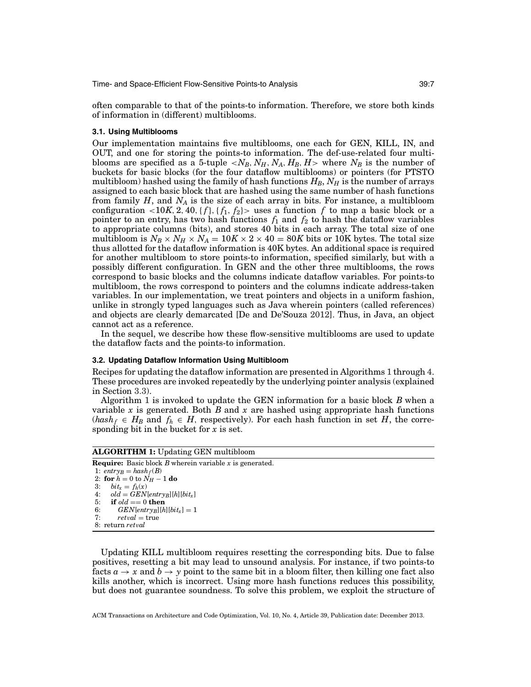often comparable to that of the points-to information. Therefore, we store both kinds of information in (different) multiblooms.

### **3.1. Using Multiblooms**

Our implementation maintains five multiblooms, one each for GEN, KILL, IN, and OUT, and one for storing the points-to information. The def-use-related four multiblooms are specified as a 5-tuple  $\langle N_B, N_H, N_A, H_B, H \rangle$  where  $N_B$  is the number of buckets for basic blocks (for the four dataflow multiblooms) or pointers (for PTSTO multibloom) hashed using the family of hash functions  $H_B$ ,  $N_H$  is the number of arrays assigned to each basic block that are hashed using the same number of hash functions from family  $H$ , and  $N_A$  is the size of each array in bits. For instance, a multibloom configuration  $\langle 10K, 2, 40, \{f\}, \{f_1, f_2\} \rangle$  uses a function f to map a basic block or a pointer to an entry, has two hash functions  $f_1$  and  $f_2$  to hash the dataflow variables to appropriate columns (bits), and stores 40 bits in each array. The total size of one multibloom is  $N_B \times N_H \times N_A = 10K \times 2 \times 40 = 80K$  bits or 10K bytes. The total size thus allotted for the dataflow information is 40K bytes. An additional space is required for another multibloom to store points-to information, specified similarly, but with a possibly different configuration. In GEN and the other three multiblooms, the rows correspond to basic blocks and the columns indicate dataflow variables. For points-to multibloom, the rows correspond to pointers and the columns indicate address-taken variables. In our implementation, we treat pointers and objects in a uniform fashion, unlike in strongly typed languages such as Java wherein pointers (called references) and objects are clearly demarcated [De and De'Souza 2012]. Thus, in Java, an object cannot act as a reference.

In the sequel, we describe how these flow-sensitive multiblooms are used to update the dataflow facts and the points-to information.

# **3.2. Updating Dataflow Information Using Multibloom**

Recipes for updating the dataflow information are presented in Algorithms 1 through 4. These procedures are invoked repeatedly by the underlying pointer analysis (explained in Section 3.3).

Algorithm 1 is invoked to update the GEN information for a basic block *B* when a variable *x* is generated. Both *B* and *x* are hashed using appropriate hash functions  $(hash<sub>f</sub> ∈ H<sub>B</sub>$  and  $f<sub>h</sub> ∈ H$ , respectively). For each hash function in set *H*, the corresponding bit in the bucket for *x* is set.

# **ALGORITHM 1:** Updating GEN multibloom

**Require:** Basic block *B* wherein variable *x* is generated. 1:  $entry_B = hash_f(B)$ 2: **for**  $h = 0$  to  $N_H - 1$  **do**<br>3:  $bit_x = f_h(x)$ 3:  $bit_x = f_h(x)$ <br>4:  $old = GEN$ 4:  $old = GEN[entry_B][h][bit_x]$ <br>5: **if**  $old == 0$  **then**  $\mathbf{if}$   $\textit{old} == 0$  then 6:  $GEN[entry_B][h][bit_x] = 1$ <br>7:  $retval = true$  $re{tval}$  = true 8: return *ret*v*al*

Updating KILL multibloom requires resetting the corresponding bits. Due to false positives, resetting a bit may lead to unsound analysis. For instance, if two points-to facts  $a \rightarrow x$  and  $b \rightarrow y$  point to the same bit in a bloom filter, then killing one fact also kills another, which is incorrect. Using more hash functions reduces this possibility, but does not guarantee soundness. To solve this problem, we exploit the structure of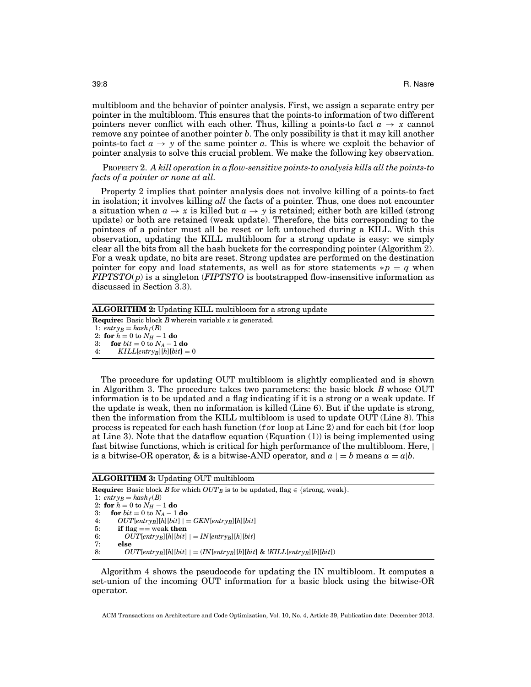multibloom and the behavior of pointer analysis. First, we assign a separate entry per pointer in the multibloom. This ensures that the points-to information of two different pointers never conflict with each other. Thus, killing a points-to fact  $a \rightarrow x$  cannot remove any pointee of another pointer *b*. The only possibility is that it may kill another points-to fact  $a \rightarrow y$  of the same pointer a. This is where we exploit the behavior of pointer analysis to solve this crucial problem. We make the following key observation.

PROPERTY 2. *A kill operation in a flow-sensitive points-to analysis kills all the points-to facts of a pointer or none at all.*

Property 2 implies that pointer analysis does not involve killing of a points-to fact in isolation; it involves killing *all* the facts of a pointer. Thus, one does not encounter a situation when  $a \rightarrow x$  is killed but  $a \rightarrow y$  is retained; either both are killed (strong update) or both are retained (weak update). Therefore, the bits corresponding to the pointees of a pointer must all be reset or left untouched during a KILL. With this observation, updating the KILL multibloom for a strong update is easy: we simply clear all the bits from all the hash buckets for the corresponding pointer (Algorithm 2). For a weak update, no bits are reset. Strong updates are performed on the destination pointer for copy and load statements, as well as for store statements  $\ast p = q$  when  $FIPTSTO(p)$  is a singleton (*FIPTSTO* is bootstrapped flow-insensitive information as discussed in Section 3.3).

| <b>ALGORITHM 2:</b> Updating KILL multibloom for a strong update   |  |  |  |  |
|--------------------------------------------------------------------|--|--|--|--|
| <b>Require:</b> Basic block $B$ wherein variable $x$ is generated. |  |  |  |  |
| 1: $entry_B = hash_f(B)$                                           |  |  |  |  |
| 2. for $h = 0$ to $N_{tt} = 1$ do                                  |  |  |  |  |

2: **for**  $h = 0$  to  $N_H$ <br>3: **for**  $bit = 0$  to 3: **for**  $bit = 0$  to  $N_A - 1$  **do**<br>4: *KILL*[entry<sub>R</sub>][h][bit] =

 $KILL[entry_B][h][bit] = 0$ 

The procedure for updating OUT multibloom is slightly complicated and is shown in Algorithm 3. The procedure takes two parameters: the basic block *B* whose OUT information is to be updated and a flag indicating if it is a strong or a weak update. If the update is weak, then no information is killed (Line 6). But if the update is strong, then the information from the KILL multibloom is used to update OUT (Line 8). This process is repeated for each hash function (for loop at Line 2) and for each bit (for loop at Line 3). Note that the dataflow equation (Equation (1)) is being implemented using fast bitwise functions, which is critical for high performance of the multibloom. Here, is a bitwise-OR operator,  $\&$  is a bitwise-AND operator, and  $a \mid b$  means  $a = a \mid b$ .

**ALGORITHM 3:** Updating OUT multibloom

**Require:** Basic block *B* for which  $OUT_B$  is to be updated, flag  $\in$  {strong, weak}. 1:  $\overline{entry_B} = \overline{hash_f(B)}$ 2: **for**  $h = 0$  to  $N_H - 1$  **do**<br>3: **for**  $bit = 0$  to  $N_A - 1$ 3: **for**  $bit = 0$  to  $N_A - 1$  **do**<br>4:  $OUT[entry_B][h][bit] =$ 4:  $OUT[entry_B][h][bit] = GEN[entry_B][h][bit]$ <br>5: **if** flag == weak **then if** flag  $==$  weak **then** 6:  $OUT[entry_B][h][bit] = IN[entry_B][h][bit]$ <br>7: **else** 7: **else** 8: *OUT*[ $entry_B$ ][ $h$ ][ $bit$ ] = (*IN*[ $entry_B$ ][ $h$ ][ $bit$ ] & !*KILL*[ $entry_B$ ][ $h$ ][ $bit$ ])

Algorithm 4 shows the pseudocode for updating the IN multibloom. It computes a set-union of the incoming OUT information for a basic block using the bitwise-OR operator.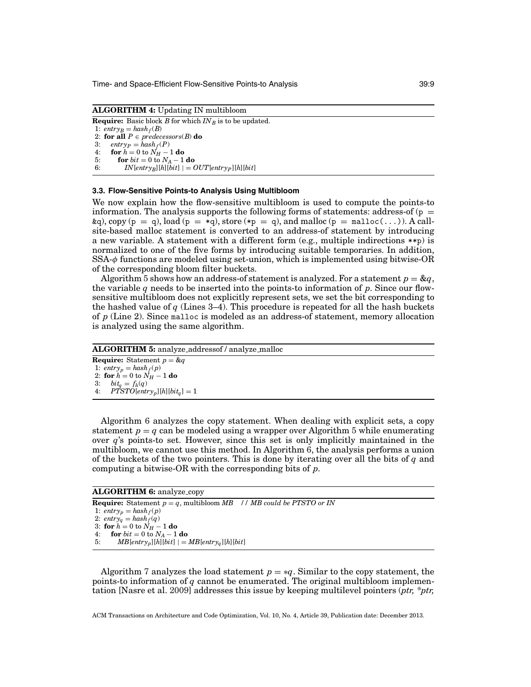**Require:** Basic block *B* for which  $IN_B$  is to be updated. 1:  $entryB = hash_f(B)$ 2: **for all**  $P \in predecessors(B)$  **do** 3: *entryP* =  $hash_f(P)$ <br>4: **for**  $h = 0$  to  $N_H - 1$ 4: **for**  $h = 0$  to  $N_H - 1$  **do**<br>5: **for**  $hit = 0$  to  $N_A - 1$ 5: **for**  $bit = 0$  to  $N_A - 1$  **do**<br>6:  $IN[entry] [h][h] [t] = 0$  $IN[entryB][h][bit] = OUT[entryD][h][bit]$ 

#### **3.3. Flow-Sensitive Points-to Analysis Using Multibloom**

We now explain how the flow-sensitive multibloom is used to compute the points-to information. The analysis supports the following forms of statements: address-of  $(p =$  $\text{kg}(a)$ , copy (p = q), load (p = \*q), store (\*p = q), and malloc (p = malloc(...)). A callsite-based malloc statement is converted to an address-of statement by introducing a new variable. A statement with a different form (e.g., multiple indirections \*\*p) is normalized to one of the five forms by introducing suitable temporaries. In addition, SSA-φ functions are modeled using set-union, which is implemented using bitwise-OR of the corresponding bloom filter buckets.

Algorithm 5 shows how an address-of statement is analyzed. For a statement  $p = \&q$ , the variable *q* needs to be inserted into the points-to information of *p*. Since our flowsensitive multibloom does not explicitly represent sets, we set the bit corresponding to the hashed value of *q* (Lines 3–4). This procedure is repeated for all the hash buckets of *p* (Line 2). Since malloc is modeled as an address-of statement, memory allocation is analyzed using the same algorithm.

#### **ALGORITHM 5:** analyze addressof / analyze malloc

**Require:** Statement *p* = &*q* 1:  $entry_p = hash_f(p)$ 2: **for**  $h = 0$  to  $N_H - 1$  **do**<br>3:  $hit_c = f_h(q)$ 3:  $bit_q = f_h(q)$ <br>4. PTSTO[enti  $P\overline{T}STO[entry_p][h][bit_q] = 1$ 

Algorithm 6 analyzes the copy statement. When dealing with explicit sets, a copy statement  $p = q$  can be modeled using a wrapper over Algorithm 5 while enumerating over *q*'s points-to set. However, since this set is only implicitly maintained in the multibloom, we cannot use this method. In Algorithm 6, the analysis performs a union of the buckets of the two pointers. This is done by iterating over all the bits of *q* and computing a bitwise-OR with the corresponding bits of *p*.

#### **ALGORITHM 6:** analyze\_copy **Require:** Statement  $p = q$ , multibloom *MB* // *MB could be PTSTO or IN* 1:  $entry_p = hash_f(p)$ 2:  $entry_q = hash_f(q)$ 3: **for**  $h = 0$  to  $N_H - 1$  **do**<br>4: **for**  $bit = 0$  to  $N_A - 1$ 4: **for**  $bit = 0$  to  $N_A - 1$  **do**<br>5: *MB[entry<sub>n</sub>][h][bit]*  $| =$  $MB[entry_p][h][bit] = MB[entry_q][h][bit]$

Algorithm 7 analyzes the load statement  $p = \alpha q$ . Similar to the copy statement, the points-to information of *q* cannot be enumerated. The original multibloom implementation [Nasre et al. 2009] addresses this issue by keeping multilevel pointers (*ptr, \*ptr,*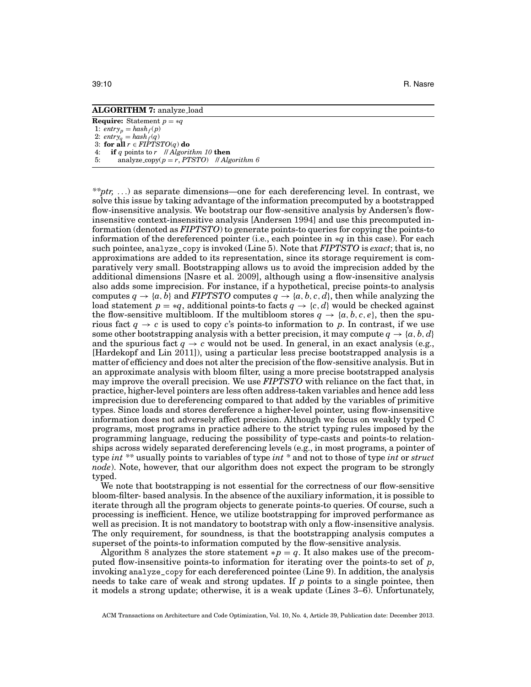#### **ALGORITHM 7:** analyze load

**Require:** Statement *p* = ∗*q*

1:  $entry_p = hash_f(p)$ 

2:  $entry_q = hash_f(q)$ 

3: **for all**  $r \in \text{FIPTSTO}(q)$  **do** 

- 4: **if** *q* points to *r* // *Algorithm 10* **then** 5: analyze\_copy( $p = r$ , *PTSTO*) // *Algorithm 6*
- 

*\*\*ptr,* ...) as separate dimensions—one for each dereferencing level. In contrast, we solve this issue by taking advantage of the information precomputed by a bootstrapped flow-insensitive analysis. We bootstrap our flow-sensitive analysis by Andersen's flowinsensitive context-insensitive analysis [Andersen 1994] and use this precomputed information (denoted as *FIPTSTO*) to generate points-to queries for copying the points-to information of the dereferenced pointer (i.e., each pointee in ∗*q* in this case). For each such pointee, analyze\_copy is invoked (Line 5). Note that *FIPTSTO* is *exact*; that is, no approximations are added to its representation, since its storage requirement is comparatively very small. Bootstrapping allows us to avoid the imprecision added by the additional dimensions [Nasre et al. 2009], although using a flow-insensitive analysis also adds some imprecision. For instance, if a hypothetical, precise points-to analysis computes  $q \rightarrow \{a, b\}$  and *FIPTSTO* computes  $q \rightarrow \{a, b, c, d\}$ , then while analyzing the load statement  $p = *q$ , additional points-to facts  $q \rightarrow \{c, d\}$  would be checked against the flow-sensitive multibloom. If the multibloom stores  $q \rightarrow \{a, b, c, e\}$ , then the spurious fact  $q \to c$  is used to copy *c*'s points-to information to *p*. In contrast, if we use some other bootstrapping analysis with a better precision, it may compute  $q \rightarrow \{a, b, d\}$ and the spurious fact  $q \to c$  would not be used. In general, in an exact analysis (e.g., [Hardekopf and Lin 2011]), using a particular less precise bootstrapped analysis is a matter of efficiency and does not alter the precision of the flow-sensitive analysis. But in an approximate analysis with bloom filter, using a more precise bootstrapped analysis may improve the overall precision. We use *FIPTSTO* with reliance on the fact that, in practice, higher-level pointers are less often address-taken variables and hence add less imprecision due to dereferencing compared to that added by the variables of primitive types. Since loads and stores dereference a higher-level pointer, using flow-insensitive information does not adversely affect precision. Although we focus on weakly typed C programs, most programs in practice adhere to the strict typing rules imposed by the programming language, reducing the possibility of type-casts and points-to relationships across widely separated dereferencing levels (e.g., in most programs, a pointer of type *int \*\** usually points to variables of type *int \** and not to those of type *int* or *struct node*). Note, however, that our algorithm does not expect the program to be strongly typed.

We note that bootstrapping is not essential for the correctness of our flow-sensitive bloom-filter- based analysis. In the absence of the auxiliary information, it is possible to iterate through all the program objects to generate points-to queries. Of course, such a processing is inefficient. Hence, we utilize bootstrapping for improved performance as well as precision. It is not mandatory to bootstrap with only a flow-insensitive analysis. The only requirement, for soundness, is that the bootstrapping analysis computes a superset of the points-to information computed by the flow-sensitive analysis.

Algorithm 8 analyzes the store statement  $*p = q$ . It also makes use of the precomputed flow-insensitive points-to information for iterating over the points-to set of *p*, invoking analyze\_copy for each dereferenced pointee (Line 9). In addition, the analysis needs to take care of weak and strong updates. If *p* points to a single pointee, then it models a strong update; otherwise, it is a weak update (Lines 3–6). Unfortunately,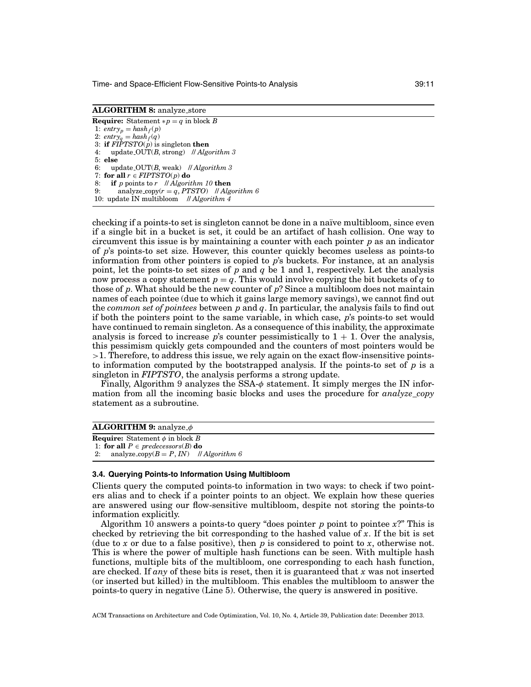#### **ALGORITHM 8:** analyze store

**Require:** Statement  $*p = q$  in block *B* 1:  $entry_p = hash_f(p)$ 2:  $entry_q = hash_f(q)$ 3: **if**  $FIPTSTO(p)$  is singleton **then**<br>4: update\_OUT(B, strong) // Algo 4: update OUT(*B*, strong) // *Algorithm 3* 5: **else** 6: update OUT(*B*, weak) // *Algorithm 3* 7: **for all**  $r \in$  *FIPTSTO* $(p)$  **do** 8: **if** *p* points to *r* // *Algorithm 10* **then** 9: analyze\_copy( $r = q$ , *PTSTO*) // *Algorithm 6* 10: update IN multibloom // *Algorithm 4*

checking if a points-to set is singleton cannot be done in a naïve multibloom, since even if a single bit in a bucket is set, it could be an artifact of hash collision. One way to circumvent this issue is by maintaining a counter with each pointer *p* as an indicator of *p*'s points-to set size. However, this counter quickly becomes useless as points-to information from other pointers is copied to *p*'s buckets. For instance, at an analysis point, let the points-to set sizes of *p* and *q* be 1 and 1, respectively. Let the analysis now process a copy statement  $p = q$ . This would involve copying the bit buckets of *q* to those of *p*. What should be the new counter of *p*? Since a multibloom does not maintain names of each pointee (due to which it gains large memory savings), we cannot find out the *common set of pointees* between *p* and *q*. In particular, the analysis fails to find out if both the pointers point to the same variable, in which case, *p*'s points-to set would have continued to remain singleton. As a consequence of this inability, the approximate analysis is forced to increase *p*'s counter pessimistically to  $1 + 1$ . Over the analysis, this pessimism quickly gets compounded and the counters of most pointers would be  $>1$ . Therefore, to address this issue, we rely again on the exact flow-insensitive pointsto information computed by the bootstrapped analysis. If the points-to set of *p* is a singleton in *FIPTSTO*, the analysis performs a strong update.

Finally, Algorithm 9 analyzes the SSA- $\phi$  statement. It simply merges the IN information from all the incoming basic blocks and uses the procedure for *analyze\_copy* statement as a subroutine.

| <b>ALGORITHM 9:</b> analyze $\phi$                                                                                                   |  |
|--------------------------------------------------------------------------------------------------------------------------------------|--|
| <b>Require:</b> Statement $\phi$ in block B<br>1: for all $P \in predecessors(B)$ do<br>2: analyze_copy $(B = P, IN)$ // Algorithm 6 |  |
|                                                                                                                                      |  |

#### **3.4. Querying Points-to Information Using Multibloom**

Clients query the computed points-to information in two ways: to check if two pointers alias and to check if a pointer points to an object. We explain how these queries are answered using our flow-sensitive multibloom, despite not storing the points-to information explicitly.

Algorithm 10 answers a points-to query "does pointer *p* point to pointee *x*?" This is checked by retrieving the bit corresponding to the hashed value of *x*. If the bit is set (due to x or due to a false positive), then  $p$  is considered to point to  $x$ , otherwise not. This is where the power of multiple hash functions can be seen. With multiple hash functions, multiple bits of the multibloom, one corresponding to each hash function, are checked. If *any* of these bits is reset, then it is guaranteed that *x* was not inserted (or inserted but killed) in the multibloom. This enables the multibloom to answer the points-to query in negative (Line 5). Otherwise, the query is answered in positive.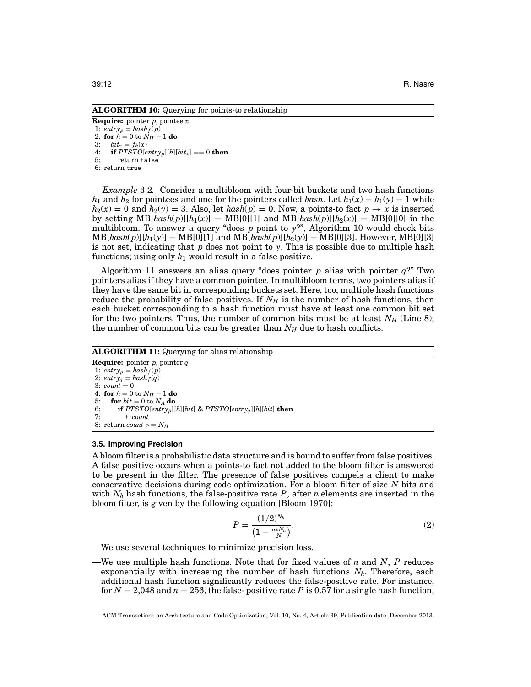**ALGORITHM 10:** Querying for points-to relationship

**Require:** pointer *p*, pointee *x* 1:  $entry_p = hash_f(p)$ 2: **for**  $h = 0$  to  $N_H - 1$  **do**<br>3:  $bit_x = f_h(x)$ 3:  $bit_x = f_h(x)$ <br>4: **if** PTSTO[e 4: **if**  $PTSTO[entry_p][h][bit_x] == 0$  **then**<br>5: return false return false 6: return true

*Example* 3.2*.* Consider a multibloom with four-bit buckets and two hash functions  $h_1$  and  $h_2$  for pointees and one for the pointers called *hash*. Let  $h_1(x) = h_1(y) = 1$  while  $h_2(x) = 0$  and  $h_2(y) = 3$ . Also, let  $hash(p) = 0$ . Now, a points-to fact  $p \rightarrow x$  is inserted by setting  $MB[hash(p)][h_1(x)] = MB[0][1]$  and  $MB[hash(p)][h_2(x)] = MB[0][0]$  in the multibloom. To answer a query "does *p* point to *y*?", Algorithm 10 would check bits  $MB[hash(p)][h_1(y)] = MB[0][1]$  and  $MB[hash(p)][h_2(y)] = MB[0][3]$ . However, MB[0][3] is not set, indicating that *p* does not point to *y*. This is possible due to multiple hash functions; using only  $h_1$  would result in a false positive.

Algorithm 11 answers an alias query "does pointer *p* alias with pointer *q*?" Two pointers alias if they have a common pointee. In multibloom terms, two pointers alias if they have the same bit in corresponding buckets set. Here, too, multiple hash functions reduce the probability of false positives. If *N<sup>H</sup>* is the number of hash functions, then each bucket corresponding to a hash function must have at least one common bit set for the two pointers. Thus, the number of common bits must be at least  $N_H$  (Line 8); the number of common bits can be greater than *N<sup>H</sup>* due to hash conflicts.

#### **ALGORITHM 11:** Querying for alias relationship

**Require:** pointer *p*, pointer *q* 1:  $entry_p = hash_f(p)$ 2:  $entry_q = hash_f(q)$ 3:  $count = 0$ 4: **for**  $h = 0$  to  $N_H - 1$  **do**<br>5: **for**  $bit = 0$  to  $N_A$  **do** 5: **for**  $bit = 0$  to  $N_A$  **do**<br>6: **if** PTSTO[entry<sub>p</sub>][ **if**  $PTSTO[entry_p][h][bit]$  &  $PTSTO[entry_q][h][bit]$  **then** 7: ++*count* 8: return *count*  $>= N_H$ 

# **3.5. Improving Precision**

A bloom filter is a probabilistic data structure and is bound to suffer from false positives. A false positive occurs when a points-to fact not added to the bloom filter is answered to be present in the filter. The presence of false positives compels a client to make conservative decisions during code optimization. For a bloom filter of size *N* bits and with *N<sup>h</sup>* hash functions, the false-positive rate *P*, after *n* elements are inserted in the bloom filter, is given by the following equation [Bloom 1970]:

$$
P = \frac{(1/2)^{N_h}}{(1 - \frac{n \ast N_h}{N})}.
$$
\n(2)

We use several techniques to minimize precision loss.

—We use multiple hash functions. Note that for fixed values of *n* and *N*, *P* reduces exponentially with increasing the number of hash functions  $N<sub>h</sub>$ . Therefore, each additional hash function significantly reduces the false-positive rate. For instance, for  $N = 2,048$  and  $n = 256$ , the false-positive rate P is 0.57 for a single hash function,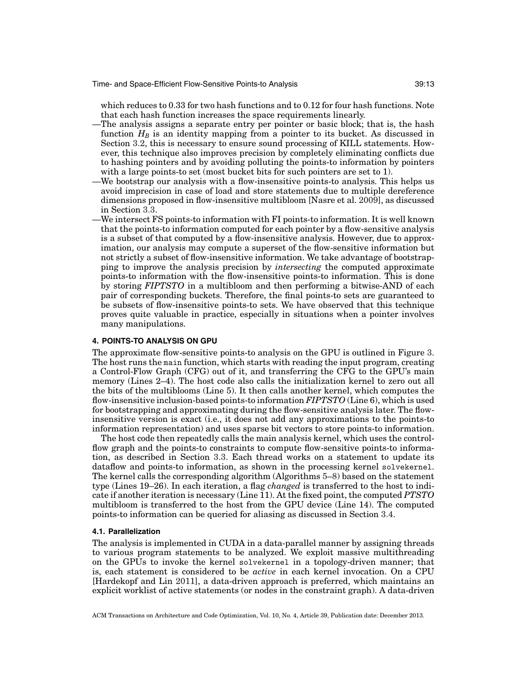which reduces to 0.33 for two hash functions and to 0.12 for four hash functions. Note that each hash function increases the space requirements linearly.

- —The analysis assigns a separate entry per pointer or basic block; that is, the hash function  $H_B$  is an identity mapping from a pointer to its bucket. As discussed in Section 3.2, this is necessary to ensure sound processing of KILL statements. However, this technique also improves precision by completely eliminating conflicts due to hashing pointers and by avoiding polluting the points-to information by pointers with a large points-to set (most bucket bits for such pointers are set to 1).
- —We bootstrap our analysis with a flow-insensitive points-to analysis. This helps us avoid imprecision in case of load and store statements due to multiple dereference dimensions proposed in flow-insensitive multibloom [Nasre et al. 2009], as discussed in Section 3.3.
- —We intersect FS points-to information with FI points-to information. It is well known that the points-to information computed for each pointer by a flow-sensitive analysis is a subset of that computed by a flow-insensitive analysis. However, due to approximation, our analysis may compute a superset of the flow-sensitive information but not strictly a subset of flow-insensitive information. We take advantage of bootstrapping to improve the analysis precision by *intersecting* the computed approximate points-to information with the flow-insensitive points-to information. This is done by storing *FIPTSTO* in a multibloom and then performing a bitwise-AND of each pair of corresponding buckets. Therefore, the final points-to sets are guaranteed to be subsets of flow-insensitive points-to sets. We have observed that this technique proves quite valuable in practice, especially in situations when a pointer involves many manipulations.

# **4. POINTS-TO ANALYSIS ON GPU**

The approximate flow-sensitive points-to analysis on the GPU is outlined in Figure 3. The host runs the main function, which starts with reading the input program, creating a Control-Flow Graph (CFG) out of it, and transferring the CFG to the GPU's main memory (Lines 2–4). The host code also calls the initialization kernel to zero out all the bits of the multiblooms (Line 5). It then calls another kernel, which computes the flow-insensitive inclusion-based points-to information *FIPTSTO* (Line 6), which is used for bootstrapping and approximating during the flow-sensitive analysis later. The flowinsensitive version is exact (i.e., it does not add any approximations to the points-to information representation) and uses sparse bit vectors to store points-to information.

The host code then repeatedly calls the main analysis kernel, which uses the controlflow graph and the points-to constraints to compute flow-sensitive points-to information, as described in Section 3.3. Each thread works on a statement to update its dataflow and points-to information, as shown in the processing kernel solvekernel. The kernel calls the corresponding algorithm (Algorithms 5–8) based on the statement type (Lines 19–26). In each iteration, a flag *changed* is transferred to the host to indicate if another iteration is necessary (Line 11). At the fixed point, the computed *PTSTO* multibloom is transferred to the host from the GPU device (Line 14). The computed points-to information can be queried for aliasing as discussed in Section 3.4.

#### **4.1. Parallelization**

The analysis is implemented in CUDA in a data-parallel manner by assigning threads to various program statements to be analyzed. We exploit massive multithreading on the GPUs to invoke the kernel solvekernel in a topology-driven manner; that is, each statement is considered to be *active* in each kernel invocation. On a CPU [Hardekopf and Lin 2011], a data-driven approach is preferred, which maintains an explicit worklist of active statements (or nodes in the constraint graph). A data-driven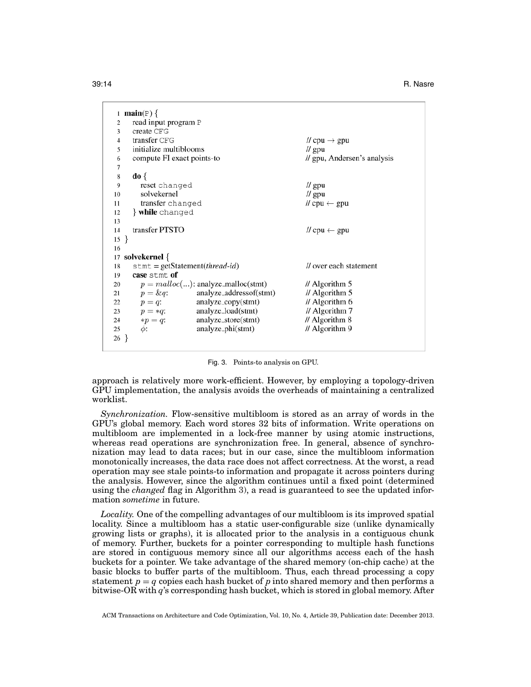|         | 1 main(P) {                                                |                             |  |  |  |  |  |  |
|---------|------------------------------------------------------------|-----------------------------|--|--|--|--|--|--|
| 2       | read input program P                                       |                             |  |  |  |  |  |  |
| 3       | create CFG                                                 |                             |  |  |  |  |  |  |
| 4       | transfer CFG                                               | // cpu $\rightarrow$ gpu    |  |  |  |  |  |  |
| 5       | initialize multiblooms                                     | $\frac{1}{2}$ gpu           |  |  |  |  |  |  |
| 6       | compute FI exact points-to                                 | // gpu, Andersen's analysis |  |  |  |  |  |  |
| 7       |                                                            |                             |  |  |  |  |  |  |
| 8       | $\mathbf{d}\mathbf{o}$ {                                   |                             |  |  |  |  |  |  |
| 9       | reset changed                                              | $\frac{1}{2}$ gpu           |  |  |  |  |  |  |
| 10      | solvekernel                                                | $\frac{1}{2}$ gpu           |  |  |  |  |  |  |
| 11      | transfer changed                                           | // $cpu \leftarrow gpu$     |  |  |  |  |  |  |
| 12      | } while changed                                            |                             |  |  |  |  |  |  |
| 13      |                                                            |                             |  |  |  |  |  |  |
| 14      | transfer PTSTO                                             | // $cpu \leftarrow gpu$     |  |  |  |  |  |  |
| $15 \}$ |                                                            |                             |  |  |  |  |  |  |
| 16      |                                                            |                             |  |  |  |  |  |  |
| 17      | solvekernel {                                              |                             |  |  |  |  |  |  |
| 18      | $stmt = getStatement(thread-id)$<br>// over each statement |                             |  |  |  |  |  |  |
| 19      | case stmt of                                               |                             |  |  |  |  |  |  |
| 20      | $p = \text{malloc}()$ : analyze_malloc(stmt)               | // Algorithm 5              |  |  |  |  |  |  |
| 21      | $p = \&q$ :<br>analyze_addressof(stmt)                     | // Algorithm 5              |  |  |  |  |  |  |
| 22      | analyze_copy(stmt)<br>$p = q$ :                            | // Algorithm 6              |  |  |  |  |  |  |
| 23      | analyze_load(stmt)<br>$p = \ast q$ :                       | // Algorithm 7              |  |  |  |  |  |  |
| 24      | analyze_store(stmt)<br>$\ast p = q$ :                      | // Algorithm 8              |  |  |  |  |  |  |
| 25      | analyze_phi(stmt)<br>φ:                                    | // Algorithm 9              |  |  |  |  |  |  |
| $26 \}$ |                                                            |                             |  |  |  |  |  |  |
|         |                                                            |                             |  |  |  |  |  |  |

Fig. 3. Points-to analysis on GPU.

approach is relatively more work-efficient. However, by employing a topology-driven GPU implementation, the analysis avoids the overheads of maintaining a centralized worklist.

*Synchronization.* Flow-sensitive multibloom is stored as an array of words in the GPU's global memory. Each word stores 32 bits of information. Write operations on multibloom are implemented in a lock-free manner by using atomic instructions, whereas read operations are synchronization free. In general, absence of synchronization may lead to data races; but in our case, since the multibloom information monotonically increases, the data race does not affect correctness. At the worst, a read operation may see stale points-to information and propagate it across pointers during the analysis. However, since the algorithm continues until a fixed point (determined using the *changed* flag in Algorithm 3), a read is guaranteed to see the updated information *sometime* in future.

*Locality.* One of the compelling advantages of our multibloom is its improved spatial locality. Since a multibloom has a static user-configurable size (unlike dynamically growing lists or graphs), it is allocated prior to the analysis in a contiguous chunk of memory. Further, buckets for a pointer corresponding to multiple hash functions are stored in contiguous memory since all our algorithms access each of the hash buckets for a pointer. We take advantage of the shared memory (on-chip cache) at the basic blocks to buffer parts of the multibloom. Thus, each thread processing a copy statement  $p = q$  copies each hash bucket of  $p$  into shared memory and then performs a bitwise-OR with *q*'s corresponding hash bucket, which is stored in global memory. After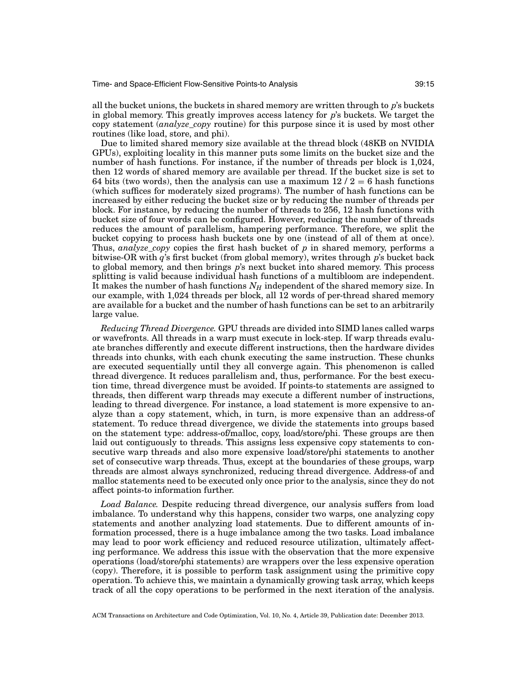all the bucket unions, the buckets in shared memory are written through to *p*'s buckets in global memory. This greatly improves access latency for *p*'s buckets. We target the copy statement (*analyze\_copy* routine) for this purpose since it is used by most other routines (like load, store, and phi).

Due to limited shared memory size available at the thread block (48KB on NVIDIA GPUs), exploiting locality in this manner puts some limits on the bucket size and the number of hash functions. For instance, if the number of threads per block is 1,024, then 12 words of shared memory are available per thread. If the bucket size is set to 64 bits (two words), then the analysis can use a maximum  $12 / 2 = 6$  hash functions (which suffices for moderately sized programs). The number of hash functions can be increased by either reducing the bucket size or by reducing the number of threads per block. For instance, by reducing the number of threads to 256, 12 hash functions with bucket size of four words can be configured. However, reducing the number of threads reduces the amount of parallelism, hampering performance. Therefore, we split the bucket copying to process hash buckets one by one (instead of all of them at once). Thus, *analyze\_copy* copies the first hash bucket of *p* in shared memory, performs a bitwise-OR with *q*'s first bucket (from global memory), writes through *p*'s bucket back to global memory, and then brings *p*'s next bucket into shared memory. This process splitting is valid because individual hash functions of a multibloom are independent. It makes the number of hash functions *N<sup>H</sup>* independent of the shared memory size. In our example, with 1,024 threads per block, all 12 words of per-thread shared memory are available for a bucket and the number of hash functions can be set to an arbitrarily large value.

*Reducing Thread Divergence.* GPU threads are divided into SIMD lanes called warps or wavefronts. All threads in a warp must execute in lock-step. If warp threads evaluate branches differently and execute different instructions, then the hardware divides threads into chunks, with each chunk executing the same instruction. These chunks are executed sequentially until they all converge again. This phenomenon is called thread divergence. It reduces parallelism and, thus, performance. For the best execution time, thread divergence must be avoided. If points-to statements are assigned to threads, then different warp threads may execute a different number of instructions, leading to thread divergence. For instance, a load statement is more expensive to analyze than a copy statement, which, in turn, is more expensive than an address-of statement. To reduce thread divergence, we divide the statements into groups based on the statement type: address-of/malloc, copy, load/store/phi. These groups are then laid out contiguously to threads. This assigns less expensive copy statements to consecutive warp threads and also more expensive load/store/phi statements to another set of consecutive warp threads. Thus, except at the boundaries of these groups, warp threads are almost always synchronized, reducing thread divergence. Address-of and malloc statements need to be executed only once prior to the analysis, since they do not affect points-to information further.

*Load Balance.* Despite reducing thread divergence, our analysis suffers from load imbalance. To understand why this happens, consider two warps, one analyzing copy statements and another analyzing load statements. Due to different amounts of information processed, there is a huge imbalance among the two tasks. Load imbalance may lead to poor work efficiency and reduced resource utilization, ultimately affecting performance. We address this issue with the observation that the more expensive operations (load/store/phi statements) are wrappers over the less expensive operation (copy). Therefore, it is possible to perform task assignment using the primitive copy operation. To achieve this, we maintain a dynamically growing task array, which keeps track of all the copy operations to be performed in the next iteration of the analysis.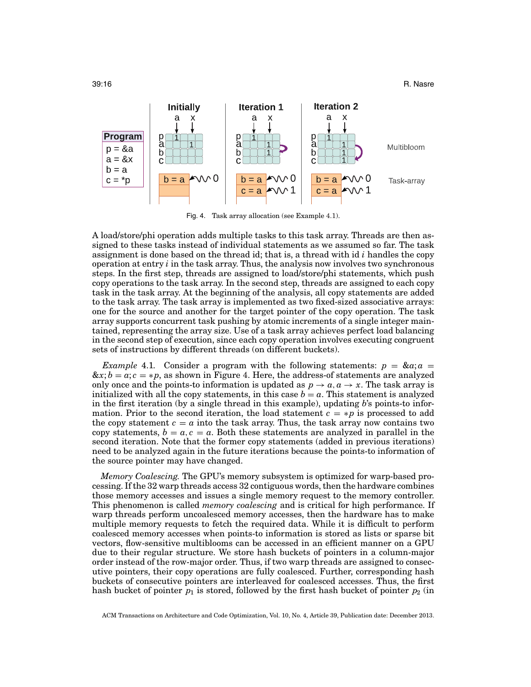

Fig. 4. Task array allocation (see Example 4.1).

A load/store/phi operation adds multiple tasks to this task array. Threads are then assigned to these tasks instead of individual statements as we assumed so far. The task assignment is done based on the thread id; that is, a thread with id *i* handles the copy operation at entry  $i$  in the task array. Thus, the analysis now involves two synchronous steps. In the first step, threads are assigned to load/store/phi statements, which push copy operations to the task array. In the second step, threads are assigned to each copy task in the task array. At the beginning of the analysis, all copy statements are added to the task array. The task array is implemented as two fixed-sized associative arrays: one for the source and another for the target pointer of the copy operation. The task array supports concurrent task pushing by atomic increments of a single integer maintained, representing the array size. Use of a task array achieves perfect load balancing in the second step of execution, since each copy operation involves executing congruent sets of instructions by different threads (on different buckets).

*Example* 4.1. Consider a program with the following statements:  $p = \&a a =$  $\&x b = a; c = *p$ , as shown in Figure 4. Here, the address-of statements are analyzed only once and the points-to information is updated as  $p \rightarrow a, a \rightarrow x$ . The task array is initialized with all the copy statements, in this case  $b = a$ . This statement is analyzed in the first iteration (by a single thread in this example), updating *b*'s points-to information. Prior to the second iteration, the load statement  $c = *p$  is processed to add the copy statement  $c = a$  into the task array. Thus, the task array now contains two copy statements,  $b = a, c = a$ . Both these statements are analyzed in parallel in the second iteration. Note that the former copy statements (added in previous iterations) need to be analyzed again in the future iterations because the points-to information of the source pointer may have changed.

*Memory Coalescing.* The GPU's memory subsystem is optimized for warp-based processing. If the 32 warp threads access 32 contiguous words, then the hardware combines those memory accesses and issues a single memory request to the memory controller. This phenomenon is called *memory coalescing* and is critical for high performance. If warp threads perform uncoalesced memory accesses, then the hardware has to make multiple memory requests to fetch the required data. While it is difficult to perform coalesced memory accesses when points-to information is stored as lists or sparse bit vectors, flow-sensitive multiblooms can be accessed in an efficient manner on a GPU due to their regular structure. We store hash buckets of pointers in a column-major order instead of the row-major order. Thus, if two warp threads are assigned to consecutive pointers, their copy operations are fully coalesced. Further, corresponding hash buckets of consecutive pointers are interleaved for coalesced accesses. Thus, the first hash bucket of pointer  $p_1$  is stored, followed by the first hash bucket of pointer  $p_2$  (in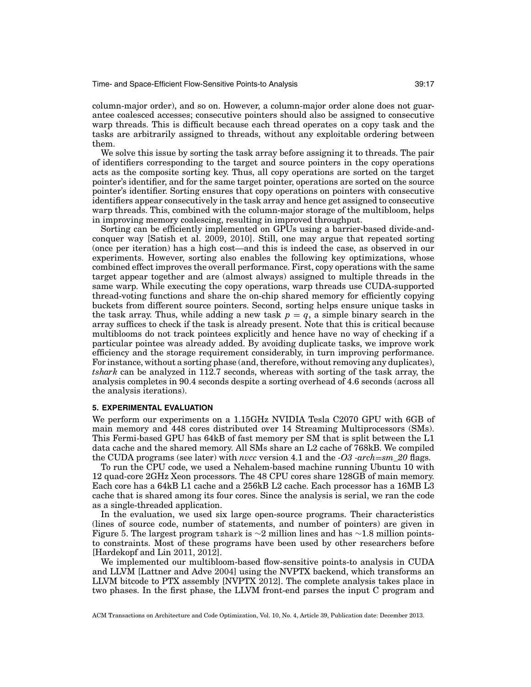column-major order), and so on. However, a column-major order alone does not guarantee coalesced accesses; consecutive pointers should also be assigned to consecutive warp threads. This is difficult because each thread operates on a copy task and the tasks are arbitrarily assigned to threads, without any exploitable ordering between them.

We solve this issue by sorting the task array before assigning it to threads. The pair of identifiers corresponding to the target and source pointers in the copy operations acts as the composite sorting key. Thus, all copy operations are sorted on the target pointer's identifier, and for the same target pointer, operations are sorted on the source pointer's identifier. Sorting ensures that copy operations on pointers with consecutive identifiers appear consecutively in the task array and hence get assigned to consecutive warp threads. This, combined with the column-major storage of the multibloom, helps in improving memory coalescing, resulting in improved throughput.

Sorting can be efficiently implemented on GPUs using a barrier-based divide-andconquer way [Satish et al. 2009, 2010]. Still, one may argue that repeated sorting (once per iteration) has a high cost—and this is indeed the case, as observed in our experiments. However, sorting also enables the following key optimizations, whose combined effect improves the overall performance. First, copy operations with the same target appear together and are (almost always) assigned to multiple threads in the same warp. While executing the copy operations, warp threads use CUDA-supported thread-voting functions and share the on-chip shared memory for efficiently copying buckets from different source pointers. Second, sorting helps ensure unique tasks in the task array. Thus, while adding a new task  $p = q$ , a simple binary search in the array suffices to check if the task is already present. Note that this is critical because multiblooms do not track pointees explicitly and hence have no way of checking if a particular pointee was already added. By avoiding duplicate tasks, we improve work efficiency and the storage requirement considerably, in turn improving performance. For instance, without a sorting phase (and, therefore, without removing any duplicates), *tshark* can be analyzed in 112.7 seconds, whereas with sorting of the task array, the analysis completes in 90.4 seconds despite a sorting overhead of 4.6 seconds (across all the analysis iterations).

# **5. EXPERIMENTAL EVALUATION**

We perform our experiments on a 1.15GHz NVIDIA Tesla C2070 GPU with 6GB of main memory and 448 cores distributed over 14 Streaming Multiprocessors (SMs). This Fermi-based GPU has 64kB of fast memory per SM that is split between the L1 data cache and the shared memory. All SMs share an L2 cache of 768kB. We compiled the CUDA programs (see later) with *nvcc* version 4.1 and the *-O3 -arch*=*sm\_20* flags.

To run the CPU code, we used a Nehalem-based machine running Ubuntu 10 with 12 quad-core 2GHz Xeon processors. The 48 CPU cores share 128GB of main memory. Each core has a 64kB L1 cache and a 256kB L2 cache. Each processor has a 16MB L3 cache that is shared among its four cores. Since the analysis is serial, we ran the code as a single-threaded application.

In the evaluation, we used six large open-source programs. Their characteristics (lines of source code, number of statements, and number of pointers) are given in Figure 5. The largest program tshark is ∼2 million lines and has ∼1.8 million pointsto constraints. Most of these programs have been used by other researchers before [Hardekopf and Lin 2011, 2012].

We implemented our multibloom-based flow-sensitive points-to analysis in CUDA and LLVM [Lattner and Adve 2004] using the NVPTX backend, which transforms an LLVM bitcode to PTX assembly [NVPTX 2012]. The complete analysis takes place in two phases. In the first phase, the LLVM front-end parses the input C program and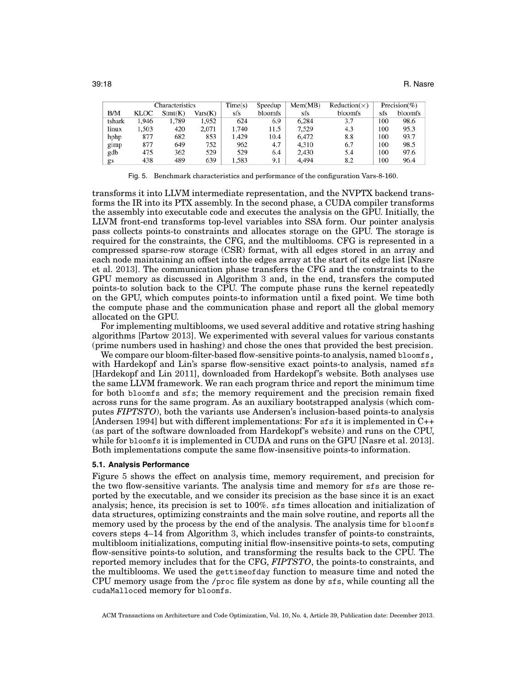| Characteristics |      |         | Time(s) | Speedup | Mem(MB) | Reduction(x) |         | Precision(%) |         |
|-----------------|------|---------|---------|---------|---------|--------------|---------|--------------|---------|
| B/M             | KLOC | Stmt(K) | Vars(K) | sfs     | bloomfs | sfs          | bloomfs | sfs          | bloomfs |
| tshark          | .946 | 1.789   | 1.952   | 624     | 6.9     | 6.284        | 3.7     | 100          | 98.6    |
| linux           | .503 | 420     | 2.071   | 740. ا  | 11.5    | 7.529        | 4.3     | 100          | 95.3    |
| hphp            | 877  | 682     | 853     | .429    | 10.4    | 6.472        | 8.8     | 100          | 93.7    |
| gimp            | 877  | 649     | 752     | 962     | 4.7     | 4.310        | 6.7     | 100          | 98.5    |
| gdb             | 475  | 362     | 529     | 529     | 6.4     | 2,430        | 5.4     | 100          | 97.6    |
| gs              | 438  | 489     | 639     | .583    | 9.1     | 4.494        | 8.2     | 100          | 96.4    |

Fig. 5. Benchmark characteristics and performance of the configuration Vars-8-160.

transforms it into LLVM intermediate representation, and the NVPTX backend transforms the IR into its PTX assembly. In the second phase, a CUDA compiler transforms the assembly into executable code and executes the analysis on the GPU. Initially, the LLVM front-end transforms top-level variables into SSA form. Our pointer analysis pass collects points-to constraints and allocates storage on the GPU. The storage is required for the constraints, the CFG, and the multiblooms. CFG is represented in a compressed sparse-row storage (CSR) format, with all edges stored in an array and each node maintaining an offset into the edges array at the start of its edge list [Nasre et al. 2013]. The communication phase transfers the CFG and the constraints to the GPU memory as discussed in Algorithm 3 and, in the end, transfers the computed points-to solution back to the CPU. The compute phase runs the kernel repeatedly on the GPU, which computes points-to information until a fixed point. We time both the compute phase and the communication phase and report all the global memory allocated on the GPU.

For implementing multiblooms, we used several additive and rotative string hashing algorithms [Partow 2013]. We experimented with several values for various constants (prime numbers used in hashing) and chose the ones that provided the best precision.

We compare our bloom-filter-based flow-sensitive points-to analysis, named bloomfs, with Hardekopf and Lin's sparse flow-sensitive exact points-to analysis, named sfs [Hardekopf and Lin 2011], downloaded from Hardekopf's website. Both analyses use the same LLVM framework. We ran each program thrice and report the minimum time for both bloomfs and sfs; the memory requirement and the precision remain fixed across runs for the same program. As an auxiliary bootstrapped analysis (which computes *FIPTSTO*), both the variants use Andersen's inclusion-based points-to analysis [Andersen 1994] but with different implementations: For sfs it is implemented in C++ (as part of the software downloaded from Hardekopf's website) and runs on the CPU, while for bloomfs it is implemented in CUDA and runs on the GPU [Nasre et al. 2013]. Both implementations compute the same flow-insensitive points-to information.

#### **5.1. Analysis Performance**

Figure 5 shows the effect on analysis time, memory requirement, and precision for the two flow-sensitive variants. The analysis time and memory for sfs are those reported by the executable, and we consider its precision as the base since it is an exact analysis; hence, its precision is set to 100%. sfs times allocation and initialization of data structures, optimizing constraints and the main solve routine, and reports all the memory used by the process by the end of the analysis. The analysis time for bloomfs covers steps 4–14 from Algorithm 3, which includes transfer of points-to constraints, multibloom initializations, computing initial flow-insensitive points-to sets, computing flow-sensitive points-to solution, and transforming the results back to the CPU. The reported memory includes that for the CFG, *FIPTSTO*, the points-to constraints, and the multiblooms. We used the gettimeofday function to measure time and noted the CPU memory usage from the /proc file system as done by sfs, while counting all the cudaMalloced memory for bloomfs.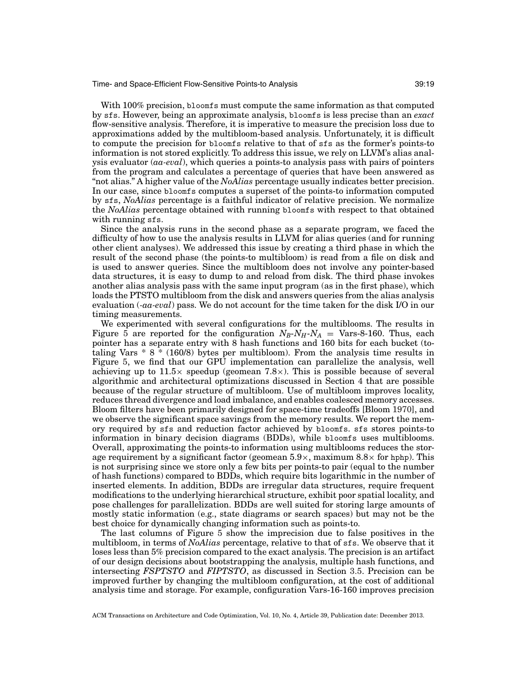With 100% precision, bloomfs must compute the same information as that computed by sfs. However, being an approximate analysis, bloomfs is less precise than an *exact* flow-sensitive analysis. Therefore, it is imperative to measure the precision loss due to approximations added by the multibloom-based analysis. Unfortunately, it is difficult to compute the precision for bloomfs relative to that of sfs as the former's points-to information is not stored explicitly. To address this issue, we rely on LLVM's alias analysis evaluator (*aa-eval*), which queries a points-to analysis pass with pairs of pointers from the program and calculates a percentage of queries that have been answered as "not alias." A higher value of the *NoAlias* percentage usually indicates better precision. In our case, since bloomfs computes a superset of the points-to information computed by sfs, *NoAlias* percentage is a faithful indicator of relative precision. We normalize the *NoAlias* percentage obtained with running bloomfs with respect to that obtained with running sfs.

Since the analysis runs in the second phase as a separate program, we faced the difficulty of how to use the analysis results in LLVM for alias queries (and for running other client analyses). We addressed this issue by creating a third phase in which the result of the second phase (the points-to multibloom) is read from a file on disk and is used to answer queries. Since the multibloom does not involve any pointer-based data structures, it is easy to dump to and reload from disk. The third phase invokes another alias analysis pass with the same input program (as in the first phase), which loads the PTSTO multibloom from the disk and answers queries from the alias analysis evaluation (*-aa-eval*) pass. We do not account for the time taken for the disk I/O in our timing measurements.

We experimented with several configurations for the multiblooms. The results in Figure 5 are reported for the configuration  $N_B$ - $N_H$ - $N_A$  = Vars-8-160. Thus, each pointer has a separate entry with 8 hash functions and 160 bits for each bucket (totaling Vars  $* 8 * (160/8)$  bytes per multibloom). From the analysis time results in Figure 5, we find that our GPU implementation can parallelize the analysis, well achieving up to  $11.5\times$  speedup (geomean 7.8 $\times$ ). This is possible because of several algorithmic and architectural optimizations discussed in Section 4 that are possible because of the regular structure of multibloom. Use of multibloom improves locality, reduces thread divergence and load imbalance, and enables coalesced memory accesses. Bloom filters have been primarily designed for space-time tradeoffs [Bloom 1970], and we observe the significant space savings from the memory results. We report the memory required by sfs and reduction factor achieved by bloomfs. sfs stores points-to information in binary decision diagrams (BDDs), while bloomfs uses multiblooms. Overall, approximating the points-to information using multiblooms reduces the storage requirement by a significant factor (geomean  $5.9\times$ , maximum  $8.8\times$  for hphp). This is not surprising since we store only a few bits per points-to pair (equal to the number of hash functions) compared to BDDs, which require bits logarithmic in the number of inserted elements. In addition, BDDs are irregular data structures, require frequent modifications to the underlying hierarchical structure, exhibit poor spatial locality, and pose challenges for parallelization. BDDs are well suited for storing large amounts of mostly static information (e.g., state diagrams or search spaces) but may not be the best choice for dynamically changing information such as points-to.

The last columns of Figure 5 show the imprecision due to false positives in the multibloom, in terms of *NoAlias* percentage, relative to that of sfs. We observe that it loses less than 5% precision compared to the exact analysis. The precision is an artifact of our design decisions about bootstrapping the analysis, multiple hash functions, and intersecting *FSPTSTO* and *FIPTSTO*, as discussed in Section 3.5. Precision can be improved further by changing the multibloom configuration, at the cost of additional analysis time and storage. For example, configuration Vars-16-160 improves precision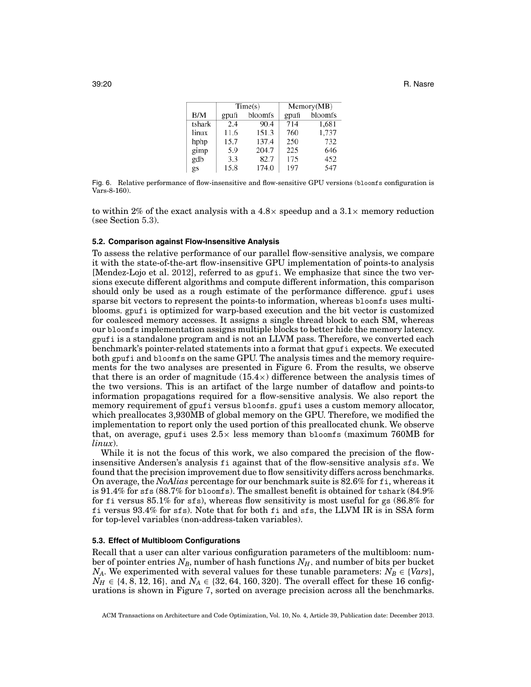|        |       | Time(s) | Memory(MB) |         |  |
|--------|-------|---------|------------|---------|--|
| B/M    | gpufi | bloomfs | gpufi      | bloomfs |  |
| tshark | 2.4   | 90.4    | 714        | 1,681   |  |
| linux  | 11.6  | 151.3   | 760        | 1,737   |  |
| hphp   | 15.7  | 137.4   | 250        | 732     |  |
| gimp   | 5.9   | 204.7   | 225        | 646     |  |
| gdb    | 3.3   | 82.7    | 175        | 452     |  |
| gs     | 15.8  | 174.0   | 197        | 547     |  |

Fig. 6. Relative performance of flow-insensitive and flow-sensitive GPU versions (bloomfs configuration is Vars-8-160).

to within 2% of the exact analysis with a  $4.8\times$  speedup and a  $3.1\times$  memory reduction (see Section 5.3).

# **5.2. Comparison against Flow-Insensitive Analysis**

To assess the relative performance of our parallel flow-sensitive analysis, we compare it with the state-of-the-art flow-insensitive GPU implementation of points-to analysis [Mendez-Lojo et al. 2012], referred to as gpufi. We emphasize that since the two versions execute different algorithms and compute different information, this comparison should only be used as a rough estimate of the performance difference. gpufi uses sparse bit vectors to represent the points-to information, whereas bloomfs uses multiblooms. gpufi is optimized for warp-based execution and the bit vector is customized for coalesced memory accesses. It assigns a single thread block to each SM, whereas our bloomfs implementation assigns multiple blocks to better hide the memory latency. gpufi is a standalone program and is not an LLVM pass. Therefore, we converted each benchmark's pointer-related statements into a format that gpufi expects. We executed both gpufi and bloomfs on the same GPU. The analysis times and the memory requirements for the two analyses are presented in Figure 6. From the results, we observe that there is an order of magnitude  $(15.4\times)$  difference between the analysis times of the two versions. This is an artifact of the large number of dataflow and points-to information propagations required for a flow-sensitive analysis. We also report the memory requirement of gpufi versus bloomfs. gpufi uses a custom memory allocator, which preallocates 3,930MB of global memory on the GPU. Therefore, we modified the implementation to report only the used portion of this preallocated chunk. We observe that, on average, gpufi uses  $2.5 \times$  less memory than bloomfs (maximum 760MB for *linux*).

While it is not the focus of this work, we also compared the precision of the flowinsensitive Andersen's analysis fi against that of the flow-sensitive analysis sfs. We found that the precision improvement due to flow sensitivity differs across benchmarks. On average, the *NoAlias* percentage for our benchmark suite is 82.6% for fi, whereas it is 91.4% for sfs (88.7% for bloomfs). The smallest benefit is obtained for tshark (84.9% for fi versus 85.1% for sfs), whereas flow sensitivity is most useful for gs (86.8% for fi versus 93.4% for sfs). Note that for both fi and sfs, the LLVM IR is in SSA form for top-level variables (non-address-taken variables).

#### **5.3. Effect of Multibloom Configurations**

Recall that a user can alter various configuration parameters of the multibloom: number of pointer entries *NB*, number of hash functions *NH*, and number of bits per bucket *N*<sup>*A*</sup>. We experimented with several values for these tunable parameters:  $N_B \in \{Vars\}$ , *N<sub>H</sub>* ∈ {4, 8, 12, 16}, and *N<sub>A</sub>* ∈ {32, 64, 160, 320}. The overall effect for these 16 configurations is shown in Figure 7, sorted on average precision across all the benchmarks.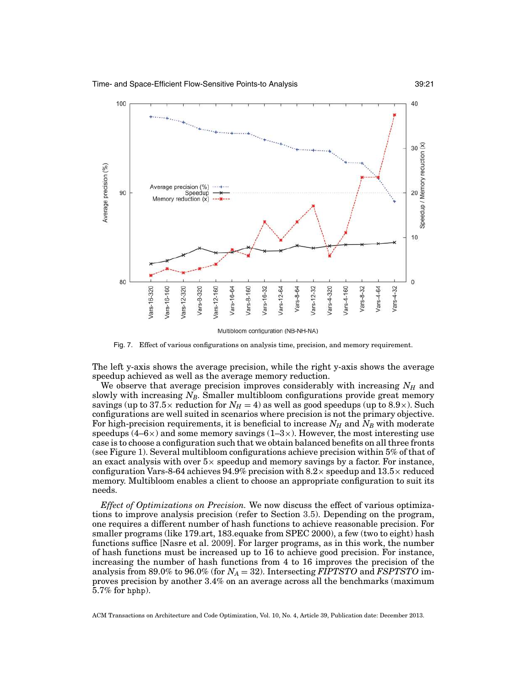

Fig. 7. Effect of various configurations on analysis time, precision, and memory requirement.

The left y-axis shows the average precision, while the right y-axis shows the average speedup achieved as well as the average memory reduction.

We observe that average precision improves considerably with increasing *N<sup>H</sup>* and slowly with increasing *NB*. Smaller multibloom configurations provide great memory savings (up to 37.5 $\times$  reduction for  $N_H = 4$ ) as well as good speedups (up to 8.9 $\times$ ). Such configurations are well suited in scenarios where precision is not the primary objective. For high-precision requirements, it is beneficial to increase  $N_H$  and  $N_B$  with moderate speedups  $(4-6\times)$  and some memory savings  $(1-3\times)$ . However, the most interesting use case is to choose a configuration such that we obtain balanced benefits on all three fronts (see Figure 1). Several multibloom configurations achieve precision within 5% of that of an exact analysis with over  $5\times$  speedup and memory savings by a factor. For instance, configuration Vars-8-64 achieves 94.9% precision with  $8.2 \times$  speedup and  $13.5 \times$  reduced memory. Multibloom enables a client to choose an appropriate configuration to suit its needs.

*Effect of Optimizations on Precision.* We now discuss the effect of various optimizations to improve analysis precision (refer to Section 3.5). Depending on the program, one requires a different number of hash functions to achieve reasonable precision. For smaller programs (like 179.art, 183.equake from SPEC 2000), a few (two to eight) hash functions suffice [Nasre et al. 2009]. For larger programs, as in this work, the number of hash functions must be increased up to 16 to achieve good precision. For instance, increasing the number of hash functions from 4 to 16 improves the precision of the analysis from 89.0% to 96.0% (for *N<sup>A</sup>* = 32). Intersecting *FIPTSTO* and *FSPTSTO* improves precision by another 3.4% on an average across all the benchmarks (maximum  $5.7\%$  for hphp).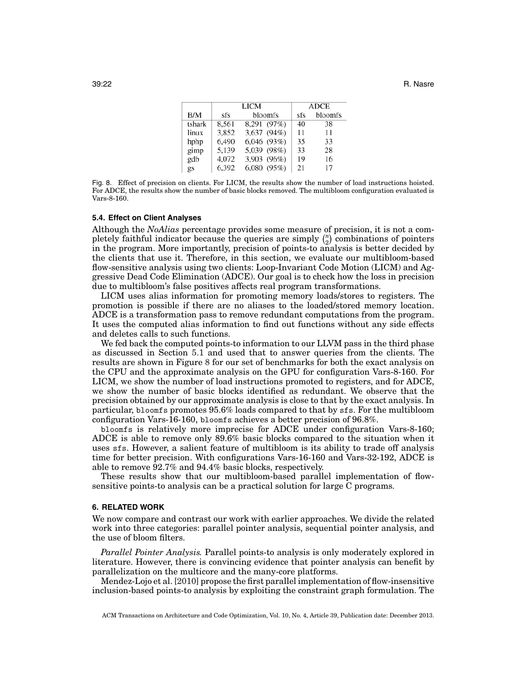|        |       | LICM          |     | ADCE    |
|--------|-------|---------------|-----|---------|
| B/M    | sfs   | bloomfs       | sfs | bloomfs |
| tshark | 8.561 | 8,291 (97%)   | 40  | 38      |
| linux  | 3.852 | 3,637 (94%)   | 11  | 11      |
| hphp   | 6.490 | $6,046$ (93%) | 35  | 33      |
| gimp   | 5,139 | 5,039 (98%)   | 33  | 28      |
| gdb    | 4,072 | 3,903 (96%)   | 19  | 16      |
| gs     | 6,392 | 6,080(95%)    | 21  | 17      |

Fig. 8. Effect of precision on clients. For LICM, the results show the number of load instructions hoisted. For ADCE, the results show the number of basic blocks removed. The multibloom configuration evaluated is Vars-8-160.

#### **5.4. Effect on Client Analyses**

Although the *NoAlias* percentage provides some measure of precision, it is not a completely faithful indicator because the queries are simply  $\binom{n}{2}$  combinations of pointers in the program. More importantly, precision of points-to analysis is better decided by the clients that use it. Therefore, in this section, we evaluate our multibloom-based flow-sensitive analysis using two clients: Loop-Invariant Code Motion (LICM) and Aggressive Dead Code Elimination (ADCE). Our goal is to check how the loss in precision due to multibloom's false positives affects real program transformations.

LICM uses alias information for promoting memory loads/stores to registers. The promotion is possible if there are no aliases to the loaded/stored memory location. ADCE is a transformation pass to remove redundant computations from the program. It uses the computed alias information to find out functions without any side effects and deletes calls to such functions.

We fed back the computed points-to information to our LLVM pass in the third phase as discussed in Section 5.1 and used that to answer queries from the clients. The results are shown in Figure 8 for our set of benchmarks for both the exact analysis on the CPU and the approximate analysis on the GPU for configuration Vars-8-160. For LICM, we show the number of load instructions promoted to registers, and for ADCE, we show the number of basic blocks identified as redundant. We observe that the precision obtained by our approximate analysis is close to that by the exact analysis. In particular, bloomfs promotes 95.6% loads compared to that by sfs. For the multibloom configuration Vars-16-160, bloomfs achieves a better precision of 96.8%.

bloomfs is relatively more imprecise for ADCE under configuration Vars-8-160; ADCE is able to remove only 89.6% basic blocks compared to the situation when it uses sfs. However, a salient feature of multibloom is its ability to trade off analysis time for better precision. With configurations Vars-16-160 and Vars-32-192, ADCE is able to remove 92.7% and 94.4% basic blocks, respectively.

These results show that our multibloom-based parallel implementation of flowsensitive points-to analysis can be a practical solution for large C programs.

# **6. RELATED WORK**

We now compare and contrast our work with earlier approaches. We divide the related work into three categories: parallel pointer analysis, sequential pointer analysis, and the use of bloom filters.

*Parallel Pointer Analysis.* Parallel points-to analysis is only moderately explored in literature. However, there is convincing evidence that pointer analysis can benefit by parallelization on the multicore and the many-core platforms.

Mendez-Lojo et al. [2010] propose the first parallel implementation of flow-insensitive inclusion-based points-to analysis by exploiting the constraint graph formulation. The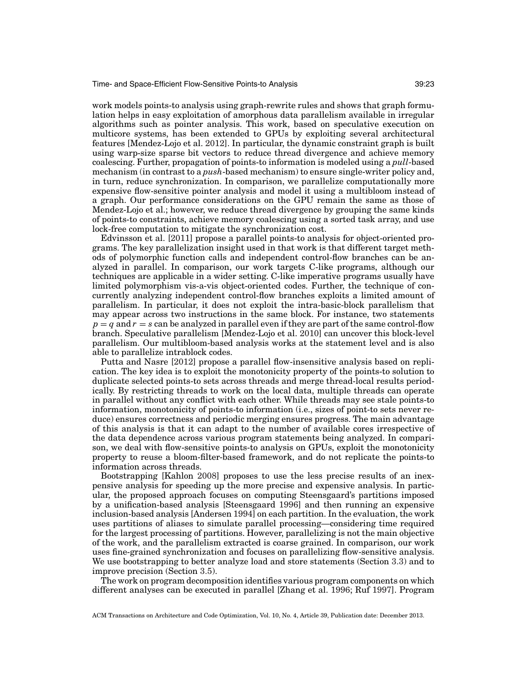work models points-to analysis using graph-rewrite rules and shows that graph formulation helps in easy exploitation of amorphous data parallelism available in irregular algorithms such as pointer analysis. This work, based on speculative execution on multicore systems, has been extended to GPUs by exploiting several architectural features [Mendez-Lojo et al. 2012]. In particular, the dynamic constraint graph is built using warp-size sparse bit vectors to reduce thread divergence and achieve memory coalescing. Further, propagation of points-to information is modeled using a *pull*-based mechanism (in contrast to a *push*-based mechanism) to ensure single-writer policy and, in turn, reduce synchronization. In comparison, we parallelize computationally more expensive flow-sensitive pointer analysis and model it using a multibloom instead of a graph. Our performance considerations on the GPU remain the same as those of Mendez-Lojo et al.; however, we reduce thread divergence by grouping the same kinds of points-to constraints, achieve memory coalescing using a sorted task array, and use lock-free computation to mitigate the synchronization cost.

Edvinsson et al. [2011] propose a parallel points-to analysis for object-oriented programs. The key parallelization insight used in that work is that different target methods of polymorphic function calls and independent control-flow branches can be analyzed in parallel. In comparison, our work targets C-like programs, although our techniques are applicable in a wider setting. C-like imperative programs usually have limited polymorphism vis-a-vis object-oriented codes. Further, the technique of concurrently analyzing independent control-flow branches exploits a limited amount of parallelism. In particular, it does not exploit the intra-basic-block parallelism that may appear across two instructions in the same block. For instance, two statements  $p = q$  and  $r = s$  can be analyzed in parallel even if they are part of the same control-flow branch. Speculative parallelism [Mendez-Lojo et al. 2010] can uncover this block-level parallelism. Our multibloom-based analysis works at the statement level and is also able to parallelize intrablock codes.

Putta and Nasre [2012] propose a parallel flow-insensitive analysis based on replication. The key idea is to exploit the monotonicity property of the points-to solution to duplicate selected points-to sets across threads and merge thread-local results periodically. By restricting threads to work on the local data, multiple threads can operate in parallel without any conflict with each other. While threads may see stale points-to information, monotonicity of points-to information (i.e., sizes of point-to sets never reduce) ensures correctness and periodic merging ensures progress. The main advantage of this analysis is that it can adapt to the number of available cores irrespective of the data dependence across various program statements being analyzed. In comparison, we deal with flow-sensitive points-to analysis on GPUs, exploit the monotonicity property to reuse a bloom-filter-based framework, and do not replicate the points-to information across threads.

Bootstrapping [Kahlon 2008] proposes to use the less precise results of an inexpensive analysis for speeding up the more precise and expensive analysis. In particular, the proposed approach focuses on computing Steensgaard's partitions imposed by a unification-based analysis [Steensgaard 1996] and then running an expensive inclusion-based analysis [Andersen 1994] on each partition. In the evaluation, the work uses partitions of aliases to simulate parallel processing—considering time required for the largest processing of partitions. However, parallelizing is not the main objective of the work, and the parallelism extracted is coarse grained. In comparison, our work uses fine-grained synchronization and focuses on parallelizing flow-sensitive analysis. We use bootstrapping to better analyze load and store statements (Section 3.3) and to improve precision (Section 3.5).

The work on program decomposition identifies various program components on which different analyses can be executed in parallel [Zhang et al. 1996; Ruf 1997]. Program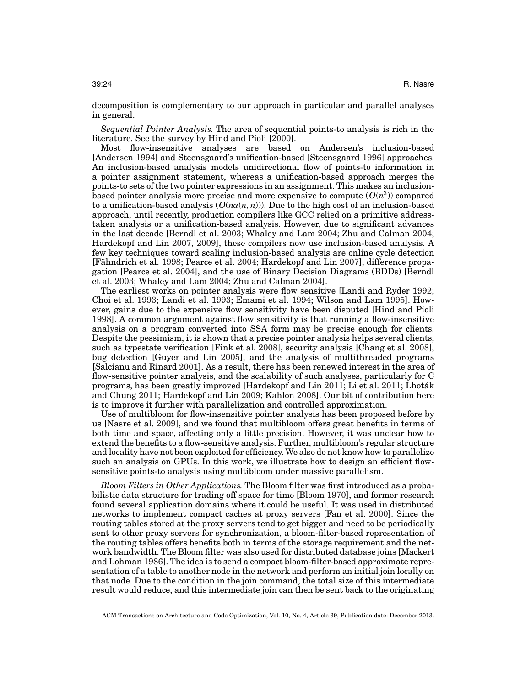decomposition is complementary to our approach in particular and parallel analyses in general.

*Sequential Pointer Analysis.* The area of sequential points-to analysis is rich in the literature. See the survey by Hind and Pioli [2000].

Most flow-insensitive analyses are based on Andersen's inclusion-based [Andersen 1994] and Steensgaard's unification-based [Steensgaard 1996] approaches. An inclusion-based analysis models unidirectional flow of points-to information in a pointer assignment statement, whereas a unification-based approach merges the points-to sets of the two pointer expressions in an assignment. This makes an inclusionbased pointer analysis more precise and more expensive to compute  $(O(n^3))$  compared to a unification-based analysis  $(O(n\alpha(n, n)))$ . Due to the high cost of an inclusion-based approach, until recently, production compilers like GCC relied on a primitive addresstaken analysis or a unification-based analysis. However, due to significant advances in the last decade [Berndl et al. 2003; Whaley and Lam 2004; Zhu and Calman 2004; Hardekopf and Lin 2007, 2009], these compilers now use inclusion-based analysis. A few key techniques toward scaling inclusion-based analysis are online cycle detection [Fähndrich et al. 1998; Pearce et al. 2004; Hardekopf and Lin 2007], difference propagation [Pearce et al. 2004], and the use of Binary Decision Diagrams (BDDs) [Berndl et al. 2003; Whaley and Lam 2004; Zhu and Calman 2004].

The earliest works on pointer analysis were flow sensitive [Landi and Ryder 1992; Choi et al. 1993; Landi et al. 1993; Emami et al. 1994; Wilson and Lam 1995]. However, gains due to the expensive flow sensitivity have been disputed [Hind and Pioli 1998]. A common argument against flow sensitivity is that running a flow-insensitive analysis on a program converted into SSA form may be precise enough for clients. Despite the pessimism, it is shown that a precise pointer analysis helps several clients, such as typestate verification [Fink et al. 2008], security analysis [Chang et al. 2008], bug detection [Guyer and Lin 2005], and the analysis of multithreaded programs [Salcianu and Rinard 2001]. As a result, there has been renewed interest in the area of flow-sensitive pointer analysis, and the scalability of such analyses, particularly for C programs, has been greatly improved [Hardekopf and Lin 2011; Li et al. 2011; Lhotak´ and Chung 2011; Hardekopf and Lin 2009; Kahlon 2008]. Our bit of contribution here is to improve it further with parallelization and controlled approximation.

Use of multibloom for flow-insensitive pointer analysis has been proposed before by us [Nasre et al. 2009], and we found that multibloom offers great benefits in terms of both time and space, affecting only a little precision. However, it was unclear how to extend the benefits to a flow-sensitive analysis. Further, multibloom's regular structure and locality have not been exploited for efficiency. We also do not know how to parallelize such an analysis on GPUs. In this work, we illustrate how to design an efficient flowsensitive points-to analysis using multibloom under massive parallelism.

*Bloom Filters in Other Applications.* The Bloom filter was first introduced as a probabilistic data structure for trading off space for time [Bloom 1970], and former research found several application domains where it could be useful. It was used in distributed networks to implement compact caches at proxy servers [Fan et al. 2000]. Since the routing tables stored at the proxy servers tend to get bigger and need to be periodically sent to other proxy servers for synchronization, a bloom-filter-based representation of the routing tables offers benefits both in terms of the storage requirement and the network bandwidth. The Bloom filter was also used for distributed database joins [Mackert and Lohman 1986]. The idea is to send a compact bloom-filter-based approximate representation of a table to another node in the network and perform an initial join locally on that node. Due to the condition in the join command, the total size of this intermediate result would reduce, and this intermediate join can then be sent back to the originating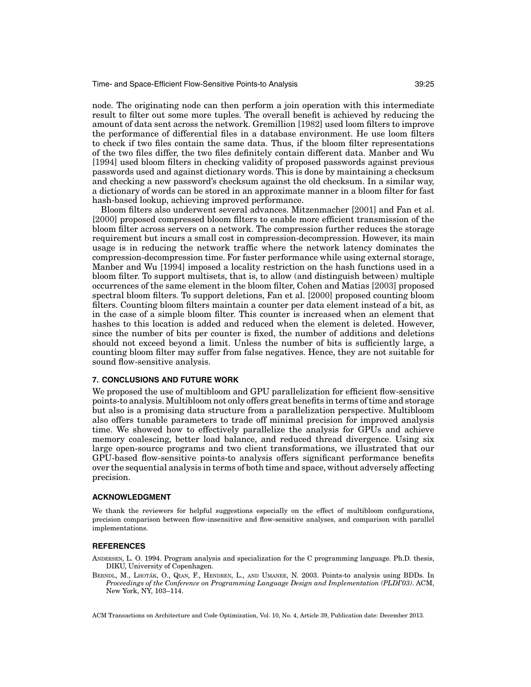node. The originating node can then perform a join operation with this intermediate result to filter out some more tuples. The overall benefit is achieved by reducing the amount of data sent across the network. Gremillion [1982] used loom filters to improve the performance of differential files in a database environment. He use loom filters to check if two files contain the same data. Thus, if the bloom filter representations of the two files differ, the two files definitely contain different data. Manber and Wu [1994] used bloom filters in checking validity of proposed passwords against previous passwords used and against dictionary words. This is done by maintaining a checksum and checking a new password's checksum against the old checksum. In a similar way, a dictionary of words can be stored in an approximate manner in a bloom filter for fast hash-based lookup, achieving improved performance.

Bloom filters also underwent several advances. Mitzenmacher [2001] and Fan et al. [2000] proposed compressed bloom filters to enable more efficient transmission of the bloom filter across servers on a network. The compression further reduces the storage requirement but incurs a small cost in compression-decompression. However, its main usage is in reducing the network traffic where the network latency dominates the compression-decompression time. For faster performance while using external storage, Manber and Wu [1994] imposed a locality restriction on the hash functions used in a bloom filter. To support multisets, that is, to allow (and distinguish between) multiple occurrences of the same element in the bloom filter, Cohen and Matias [2003] proposed spectral bloom filters. To support deletions, Fan et al. [2000] proposed counting bloom filters. Counting bloom filters maintain a counter per data element instead of a bit, as in the case of a simple bloom filter. This counter is increased when an element that hashes to this location is added and reduced when the element is deleted. However, since the number of bits per counter is fixed, the number of additions and deletions should not exceed beyond a limit. Unless the number of bits is sufficiently large, a counting bloom filter may suffer from false negatives. Hence, they are not suitable for sound flow-sensitive analysis.

# **7. CONCLUSIONS AND FUTURE WORK**

We proposed the use of multibloom and GPU parallelization for efficient flow-sensitive points-to analysis. Multibloom not only offers great benefits in terms of time and storage but also is a promising data structure from a parallelization perspective. Multibloom also offers tunable parameters to trade off minimal precision for improved analysis time. We showed how to effectively parallelize the analysis for GPUs and achieve memory coalescing, better load balance, and reduced thread divergence. Using six large open-source programs and two client transformations, we illustrated that our GPU-based flow-sensitive points-to analysis offers significant performance benefits over the sequential analysis in terms of both time and space, without adversely affecting precision.

#### **ACKNOWLEDGMENT**

We thank the reviewers for helpful suggestions especially on the effect of multibloom configurations, precision comparison between flow-insensitive and flow-sensitive analyses, and comparison with parallel implementations.

#### **REFERENCES**

ANDERSEN, L. O. 1994. Program analysis and specialization for the C programming language. Ph.D. thesis, DIKU, University of Copenhagen.

BERNDL, M., LHOTÁK, O., QIAN, F., HENDREN, L., AND UMANEE, N. 2003. Points-to analysis using BDDs. In *Proceedings of the Conference on Programming Language Design and Implementation (PLDI'03)*. ACM, New York, NY, 103–114.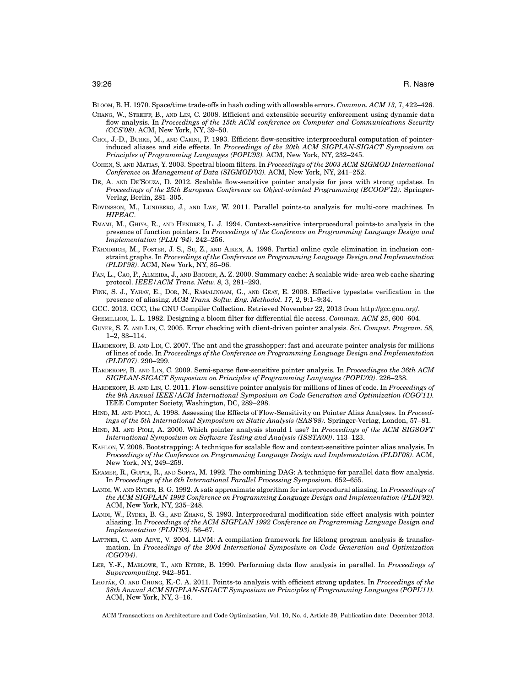BLOOM, B. H. 1970. Space/time trade-offs in hash coding with allowable errors. *Commun. ACM 13,* 7, 422–426.

- CHANG, W., STREIFF, B., AND LIN, C. 2008. Efficient and extensible security enforcement using dynamic data flow analysis. In *Proceedings of the 15th ACM conference on Computer and Communications Security (CCS'08)*. ACM, New York, NY, 39–50.
- CHOI, J.-D., BURKE, M., AND CARINI, P. 1993. Efficient flow-sensitive interprocedural computation of pointerinduced aliases and side effects. In *Proceedings of the 20th ACM SIGPLAN-SIGACT Symposium on Principles of Programming Languages (POPL'93).* ACM, New York, NY, 232–245.
- COHEN, S. AND MATIAS, Y. 2003. Spectral bloom filters. In *Proceedings of the 2003 ACM SIGMOD International Conference on Management of Data (SIGMOD'03).* ACM, New York, NY, 241–252.
- DE, A. AND DE'SOUZA, D. 2012. Scalable flow-sensitive pointer analysis for java with strong updates. In *Proceedings of the 25th European Conference on Object-oriented Programming (ECOOP'12).* Springer-Verlag, Berlin, 281–305.
- EDVINSSON, M., LUNDBERG, J., AND LWE, W. 2011. Parallel points-to analysis for multi-core machines. In *HIPEAC*.
- EMAMI, M., GHIYA, R., AND HENDREN, L. J. 1994. Context-sensitive interprocedural points-to analysis in the presence of function pointers. In *Proceedings of the Conference on Programming Language Design and Implementation (PLDI '94).* 242–256.
- FÄHNDRICH, M., FOSTER, J. S., SU, Z., AND AIKEN, A. 1998. Partial online cycle elimination in inclusion constraint graphs. In *Proceedings of the Conference on Programming Language Design and Implementation (PLDI'98)*. ACM, New York, NY, 85–96.
- FAN, L., CAO, P., ALMEIDA, J., AND BRODER, A. Z. 2000. Summary cache: A scalable wide-area web cache sharing protocol. *IEEE/ACM Trans. Netw. 8,* 3, 281–293.
- FINK, S. J., YAHAV, E., DOR, N., RAMALINGAM, G., AND GEAY, E. 2008. Effective typestate verification in the presence of aliasing. *ACM Trans. Softw. Eng. Methodol. 17,* 2, 9:1–9:34.
- GCC. 2013. GCC, the GNU Compiler Collection. Retrieved November 22, 2013 from http://gcc.gnu.org/.
- GREMILLION, L. L. 1982. Designing a bloom filter for differential file access. *Commun. ACM 25*, 600–604.
- GUYER, S. Z. AND LIN, C. 2005. Error checking with client-driven pointer analysis. *Sci. Comput. Program. 58,* 1–2, 83–114.
- HARDEKOPF, B. AND LIN, C. 2007. The ant and the grasshopper: fast and accurate pointer analysis for millions of lines of code. In *Proceedings of the Conference on Programming Language Design and Implementation (PLDI'07)*. 290–299.
- HARDEKOPF, B. AND LIN, C. 2009. Semi-sparse flow-sensitive pointer analysis. In *Proceedingso the 36th ACM SIGPLAN-SIGACT Symposium on Principles of Programming Languages (POPL'09)*. 226–238.
- HARDEKOPF, B. AND LIN, C. 2011. Flow-sensitive pointer analysis for millions of lines of code. In *Proceedings of the 9th Annual IEEE/ACM International Symposium on Code Generation and Optimization (CGO'11).* IEEE Computer Society, Washington, DC, 289–298.
- HIND, M. AND PIOLI, A. 1998. Assessing the Effects of Flow-Sensitivity on Pointer Alias Analyses. In *Proceedings of the 5th International Symposium on Static Analysis (SAS'98).* Springer-Verlag, London, 57–81.
- HIND, M. AND PIOLI, A. 2000. Which pointer analysis should I use? In *Proceedings of the ACM SIGSOFT International Symposium on Software Testing and Analysis (ISSTA'00)*. 113–123.
- KAHLON, V. 2008. Bootstrapping: A technique for scalable flow and context-sensitive pointer alias analysis. In *Proceedings of the Conference on Programming Language Design and Implementation (PLDI'08)*. ACM, New York, NY, 249–259.
- KRAMER, R., GUPTA, R., AND SOFFA, M. 1992. The combining DAG: A technique for parallel data flow analysis. In *Proceedings of the 6th International Parallel Processing Symposium*. 652–655.
- LANDI, W. AND RYDER, B. G. 1992. A safe approximate algorithm for interprocedural aliasing. In *Proceedings of the ACM SIGPLAN 1992 Conference on Programming Language Design and Implementation (PLDI'92).* ACM, New York, NY, 235–248.
- LANDI, W., RYDER, B. G., AND ZHANG, S. 1993. Interprocedural modification side effect analysis with pointer aliasing. In *Proceedings of the ACM SIGPLAN 1992 Conference on Programming Language Design and Implementation (PLDI'93)*. 56–67.
- LATTNER, C. AND ADVE, V. 2004. LLVM: A compilation framework for lifelong program analysis & transformation. In *Proceedings of the 2004 International Symposium on Code Generation and Optimization (CGO'04)*.
- LEE, Y.-F., MARLOWE, T., AND RYDER, B. 1990. Performing data flow analysis in parallel. In *Proceedings of Supercomputing*. 942–951.
- LHOTÁK, O. AND CHUNG, K.-C. A. 2011. Points-to analysis with efficient strong updates. In *Proceedings of the 38th Annual ACM SIGPLAN-SIGACT Symposium on Principles of Programming Languages (POPL'11).* ACM, New York, NY, 3–16.